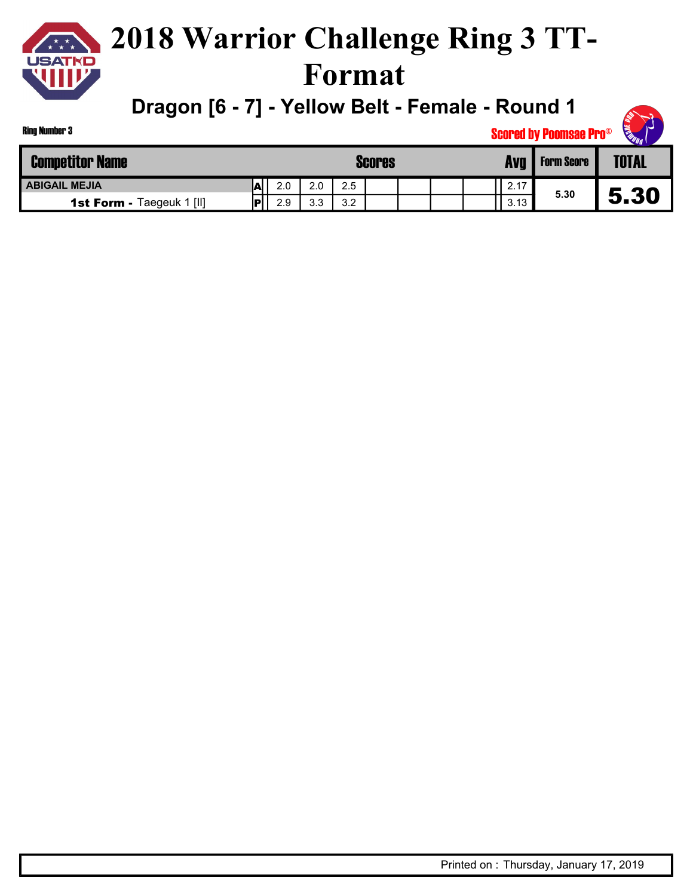**Dragon [6 - 7] - Yellow Belt - Female - Round 1**

| King Number 3                    |    |     |     |     |               |  |       | <b>Scored by Poomsae Pro®</b> | <b>SEED DAY</b> |
|----------------------------------|----|-----|-----|-----|---------------|--|-------|-------------------------------|-----------------|
| <b>Competitor Name</b>           |    |     |     |     | <b>Scores</b> |  | Avg I | <b>Form Score</b>             | <b>TOTAL</b>    |
| <b>ABIGAIL MEJIA</b>             | m  | 2.0 | 2.0 | 2.5 |               |  | 2.17  |                               |                 |
| <b>1st Form - Taegeuk 1 [II]</b> | IP | 2.9 | 3.3 | 3.2 |               |  | 3.13  | 5.30                          | 5.30            |

Ring Number 3

**REAT RE**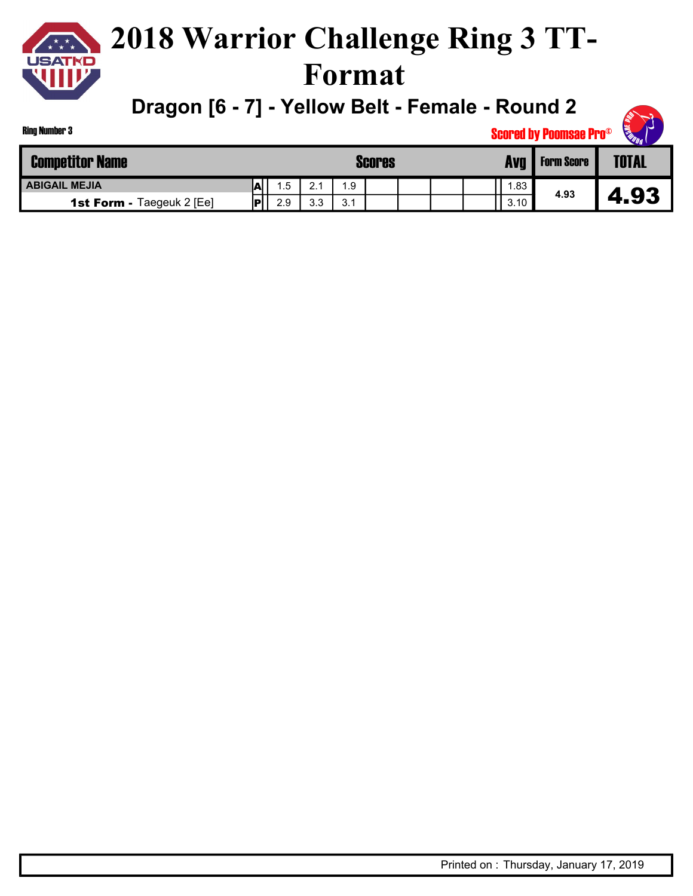**Dragon [6 - 7] - Yellow Belt - Female - Round 2**

| Ring Number 3                    |     |     |              |               |  |      | <b>Scored by Poomsae Pro®</b> | <b>CERTIFICATION</b> |
|----------------------------------|-----|-----|--------------|---------------|--|------|-------------------------------|----------------------|
| <b>Competitor Name</b>           |     |     |              | <b>Scores</b> |  | Avq  | <b>Form Score</b>             | <b>TOTAL</b>         |
| <b>ABIGAIL MEJIA</b>             |     | 1.5 | $^{\circ}$ 1 | 1.9           |  | 83   |                               |                      |
| <b>1st Form - Taegeuk 2 [Ee]</b> | lol | 2.9 | 3.3          | 3.1           |  | 3.10 | 4.93                          | 4.93                 |

**CALL READ**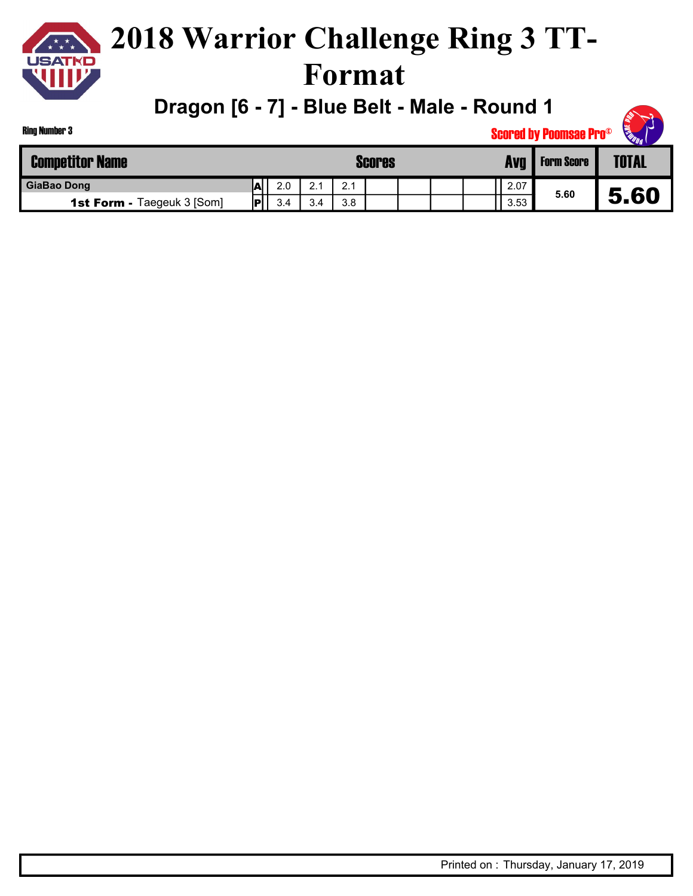

**Dragon [6 - 7] - Blue Belt - Male - Round 1**

| Ring Number 3                     |     |     |     |     |               |  |            | <b>Scored by Poomsae Pro®</b> | <b>READER</b> |
|-----------------------------------|-----|-----|-----|-----|---------------|--|------------|-------------------------------|---------------|
| <b>Competitor Name</b>            |     |     |     |     | <b>Scores</b> |  | <b>Avg</b> | <b>Form Score</b>             | <b>TOTAL</b>  |
| <b>GiaBao Dong</b>                | .AL | 2.0 | 2.1 | 2.1 |               |  | 2.07       |                               |               |
| <b>1st Form - Taegeuk 3 [Som]</b> | íD' | 3.4 | 3.4 | 3.8 |               |  | 3.53       | 5.60                          | 5.60          |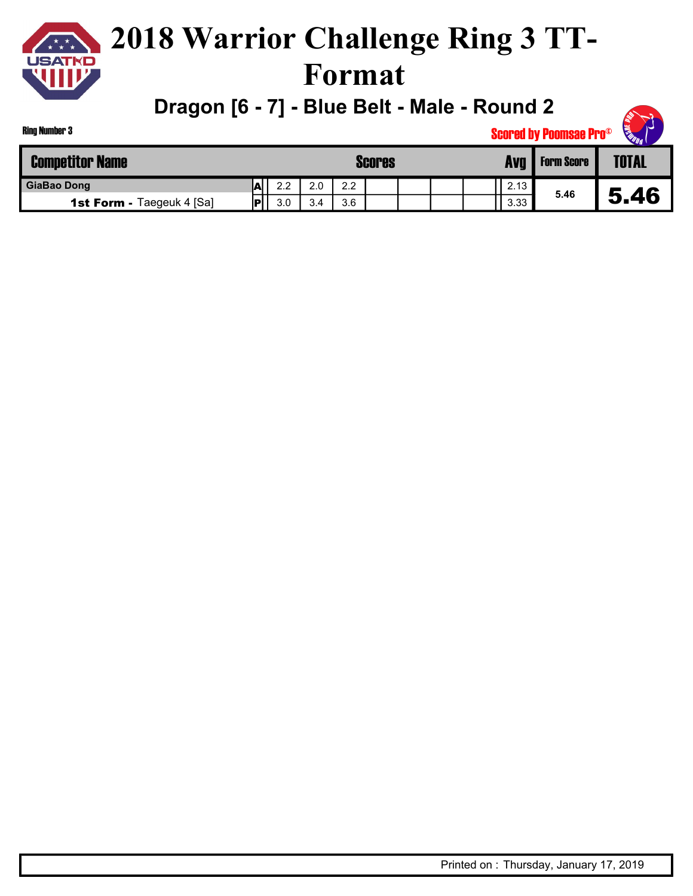

### **2018 Warrior Challenge Ring 3 TT-Format**

**Dragon [6 - 7] - Blue Belt - Male - Round 2**

| <b>SOUT</b> |
|-------------|
|-------------|

| <b>Competitor Name</b>           |    |     |     | Scores |  | Avg  | <b>Form Score</b> | <b>TOTAL</b> |
|----------------------------------|----|-----|-----|--------|--|------|-------------------|--------------|
| <b>GiaBao Dong</b>               | IА | 2.2 | 2.0 | 2.2    |  | 2.13 |                   |              |
| <b>1st Form - Taegeuk 4 [Sa]</b> | םו | 3.0 | 3.4 | 3.6    |  | 3.33 | 5.46              | , 46<br>5    |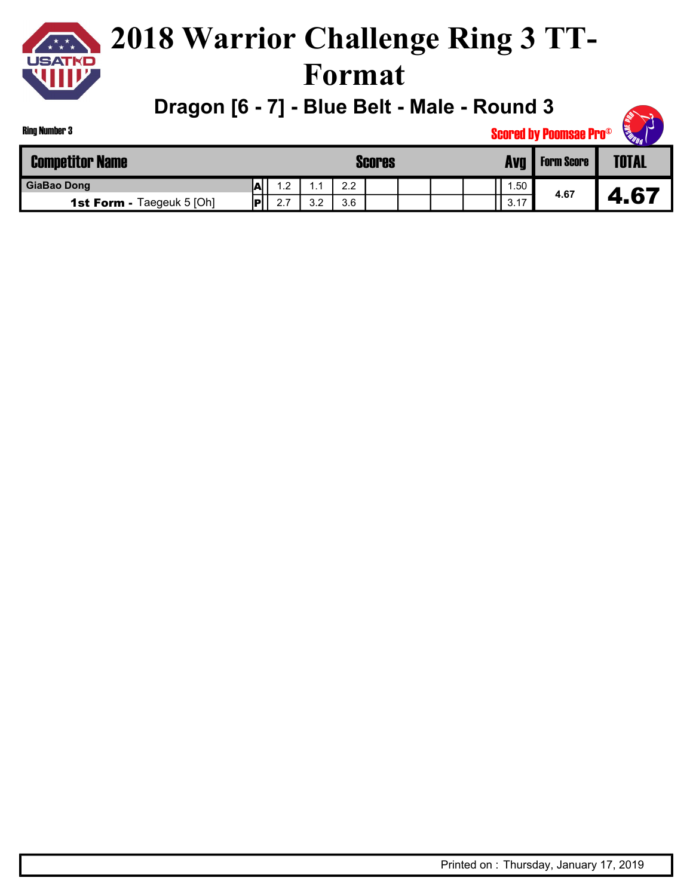

#### **2018 Warrior Challenge Ring 3 TT-Format**

**Dragon [6 - 7] - Blue Belt - Male - Round 3**

| <b>SOUT</b> |  |
|-------------|--|

| <b>Competitor Name</b>           |    |          |     |                  | <b>Scores</b> |  | Avg                   | <b>Form Score</b> | <b>WILL</b><br><b>TOTAL</b> |
|----------------------------------|----|----------|-----|------------------|---------------|--|-----------------------|-------------------|-----------------------------|
| <b>GiaBao Dong</b>               | IА | ່າ       | . . | $2.2\phantom{0}$ |               |  | 1.50                  |                   |                             |
| <b>1st Form - Taegeuk 5 [Oh]</b> | IР | 27<br>۷. | 3.2 | 3.6              |               |  | $\rightarrow$<br>3.17 | 4.67              | 67<br>4                     |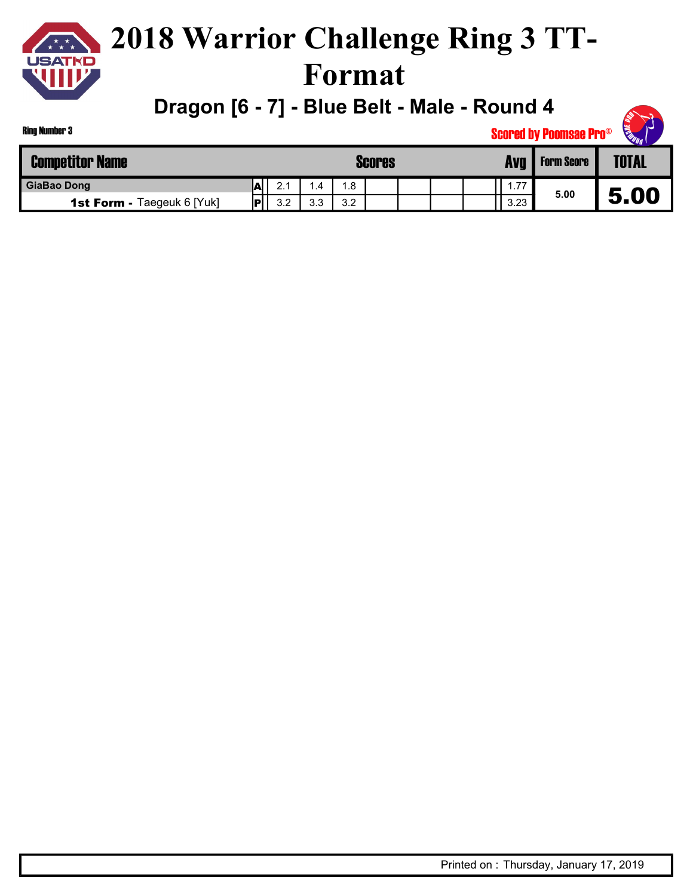

**Dragon [6 - 7] - Blue Belt - Male - Round 4**

|                                   |    |     |      |     |               |  |      | <b>Scored by Poomsae Pro®</b> | <b>READING</b><br>n. |  |
|-----------------------------------|----|-----|------|-----|---------------|--|------|-------------------------------|----------------------|--|
| titor Name                        |    |     |      |     | <b>Scores</b> |  | Avg  | <b>Form Score</b>             | <b>TOTAL</b>         |  |
| )ong                              | IА | 2.1 | 4. ا | 1.8 |               |  | .77  |                               |                      |  |
| <b>1st Form - Taegeuk 6 [Yuk]</b> | P  | 3.2 | 3.3  | 3.2 |               |  | 3.23 | 5.00                          | 5.00                 |  |

Ring Number 3

**GiaBao Dong** 

**Competitor Name**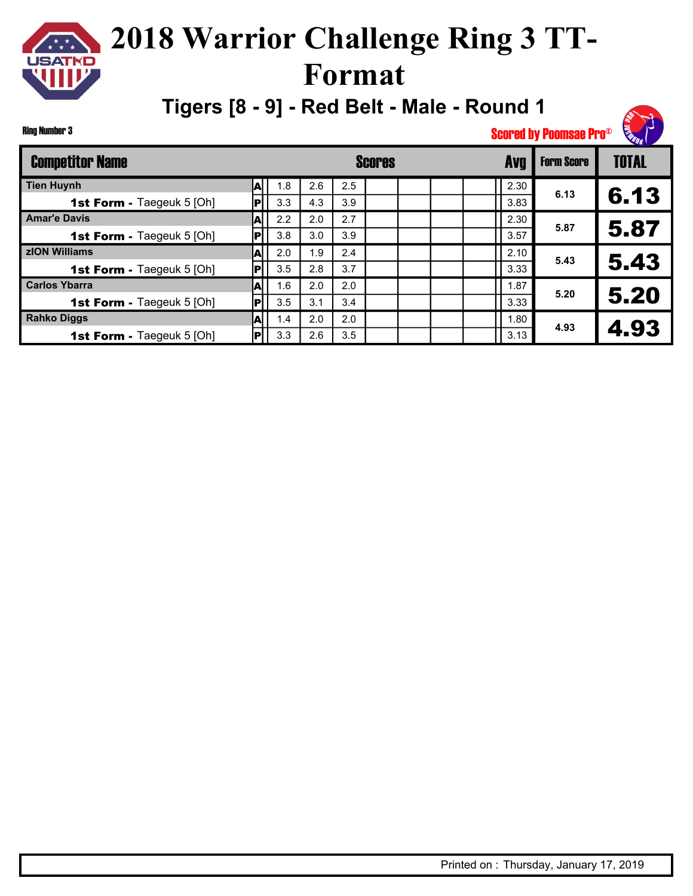**Tigers [8 - 9] - Red Belt - Male - Round 1**

| ina Number 3                     |     |     |     |     |               |  |            | <b>Scored by Poomsae Pro®</b> | <b>SERVICE AND RESPONSE AND</b> |
|----------------------------------|-----|-----|-----|-----|---------------|--|------------|-------------------------------|---------------------------------|
| <b>Competitor Name</b>           |     |     |     |     | <b>Scores</b> |  | <b>Avg</b> | <b>Form Score</b>             | <b>TOTAL</b>                    |
| <b>Tien Huynh</b>                | A   | 1.8 | 2.6 | 2.5 |               |  | 2.30       |                               |                                 |
| <b>1st Form - Taegeuk 5 [Oh]</b> | IPI | 3.3 | 4.3 | 3.9 |               |  | 3.83       | 6.13                          | 6.13                            |
| <b>Amar'e Davis</b>              | Al  | 2.2 | 2.0 | 2.7 |               |  | 2.30       | 5.87                          |                                 |
| 1st Form - Taegeuk 5 [Oh]        | P   | 3.8 | 3.0 | 3.9 |               |  | 3.57       |                               | 5.87                            |
| zION Williams                    | A   | 2.0 | 1.9 | 2.4 |               |  | 2.10       | 5.43                          |                                 |
| <b>1st Form - Taegeuk 5 [Oh]</b> | P   | 3.5 | 2.8 | 3.7 |               |  | 3.33       |                               | 5.43                            |
| <b>Carlos Ybarra</b>             | Al  | 1.6 | 2.0 | 2.0 |               |  | 1.87       | 5.20                          |                                 |
| 1st Form - Taegeuk 5 [Oh]        | IPI | 3.5 | 3.1 | 3.4 |               |  | 3.33       |                               | 5.20                            |
| <b>Rahko Diggs</b>               | ΙAΙ | 1.4 | 2.0 | 2.0 |               |  | 1.80       | 4.93                          |                                 |
| 1st Form - Taegeuk 5 [Oh]        | P   | 3.3 | 2.6 | 3.5 |               |  | 3.13       |                               | 4.93                            |

 $\star \star \star$ 

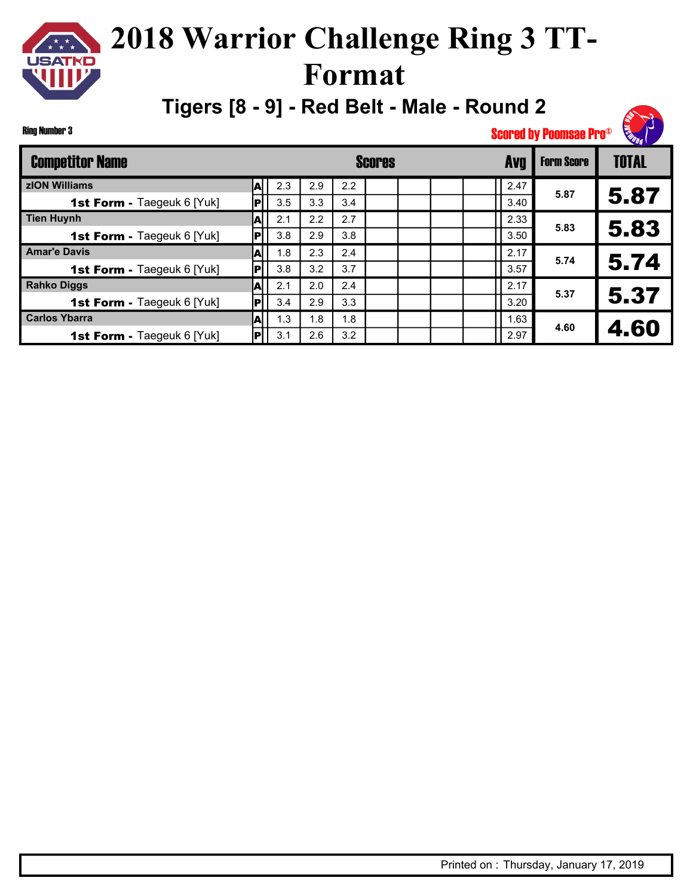#### **2018 Warrior Challenge Ring 3 TT-** $\begin{array}{c}\n\mathbf{1} & \mathbf{1} \\
\mathbf{1} & \mathbf{1} \\
\mathbf{1} & \mathbf{1} \\
\mathbf{1} & \mathbf{1}\n\end{array}$ **USATKD Format**

**Tigers [8 - 9] - Red Belt - Male - Round 2**

Form Score | TOTAL Competitor Name **Scores Avg zION Williams** 2.3 2.9 2.2 **1st Form -** Taegeuk 6 [Yuk]  $||\mathbf{P}||$  3.5  $|$  3.3  $|$  3.4 A P 2.47 3.40 **5.87** 5.87 **Tien Huynh A** 2.1 2.2 2.7 **1st Form -** Taegeuk 6 [Yuk]  $||P||$  3.8 | 2.9 | 3.8 A P 2.33 3.50 **5.83** 5.83 **Amar'e Davis 1.8** 2.3 2.4 **1st Form -** Taegeuk 6 [Yuk]  $||\mathbf{P}||$  3.8 | 3.2 | 3.7 A P 2.17 3.57 **5.74** 5.74 **Rahko Diggs** 2.1 2.0 2.4 **1st Form -** Taegeuk 6 [Yuk]  $||P||$  3.4 | 2.9 | 3.3 A  $\overline{\mathsf{P}}$ 2.17 3.20 **5.37** 5.37 **Carlos Ybarra** 1.3 1.8 1.8 **1st Form - Taegeuk 6 [Yuk]**  $||\mathbf{P}||$  3.1 | 2.6 | 3.2 A P 1.63 2.97 **4.60** 4.60

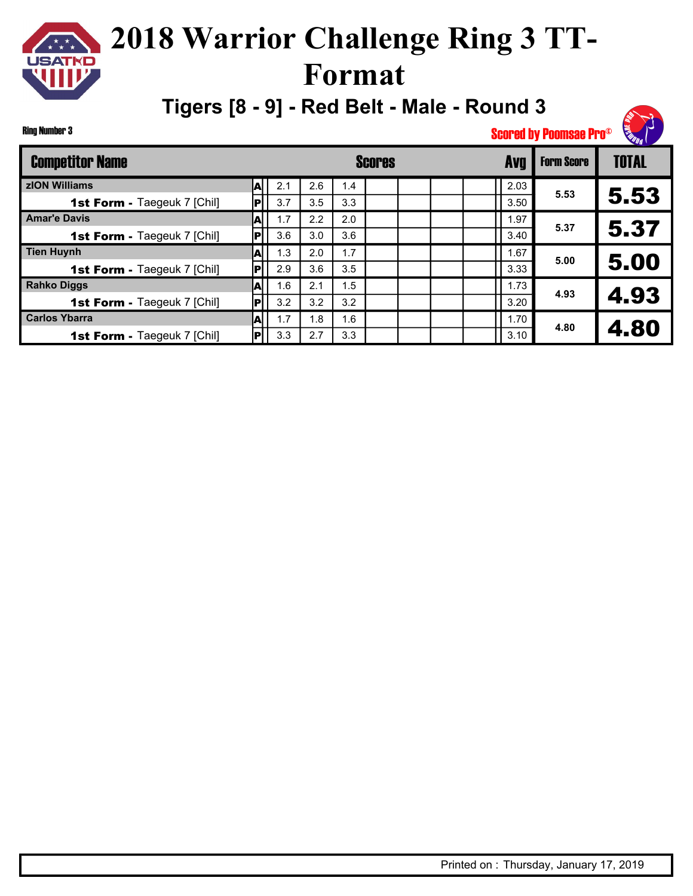**Tigers [8 - 9] - Red Belt - Male - Round 3**

Ring Number 3

 $\star \star \star$ 

| <b>Competitor Name</b>             |      |     |     |     | <b>Scores</b> |  | <b>Avq</b> | <b>Form Score</b> | <b>TOTAL</b> |
|------------------------------------|------|-----|-----|-----|---------------|--|------------|-------------------|--------------|
| zION Williams                      | A    | 2.1 | 2.6 | 1.4 |               |  | 2.03       | 5.53              |              |
| <b>1st Form - Taegeuk 7 [Chil]</b> | IPI. | 3.7 | 3.5 | 3.3 |               |  | 3.50       |                   | 5.53         |
| <b>Amar'e Davis</b>                |      | 1.7 | 2.2 | 2.0 |               |  | .97        | 5.37              |              |
| <b>1st Form - Taegeuk 7 [Chil]</b> | lPl  | 3.6 | 3.0 | 3.6 |               |  | 3.40       |                   | 5.37         |
| <b>Tien Huynh</b>                  |      | 1.3 | 2.0 | 1.7 |               |  | 1.67       | 5.00              |              |
| <b>1st Form - Taegeuk 7 [Chil]</b> | lPl  | 2.9 | 3.6 | 3.5 |               |  | 3.33       |                   | 5.00         |
| <b>Rahko Diggs</b>                 |      | 1.6 | 2.1 | 1.5 |               |  | 1.73       | 4.93              |              |
| 1st Form - Taegeuk 7 [Chil]        | lPi  | 3.2 | 3.2 | 3.2 |               |  | 3.20       |                   | 4.93         |
| <b>Carlos Ybarra</b>               | IAI  | 1.7 | 1.8 | 1.6 |               |  | 1.70       | 4.80              |              |
| <b>1st Form - Taegeuk 7 [Chil]</b> | lPi  | 3.3 | 2.7 | 3.3 |               |  | 3.10       |                   | 4.80         |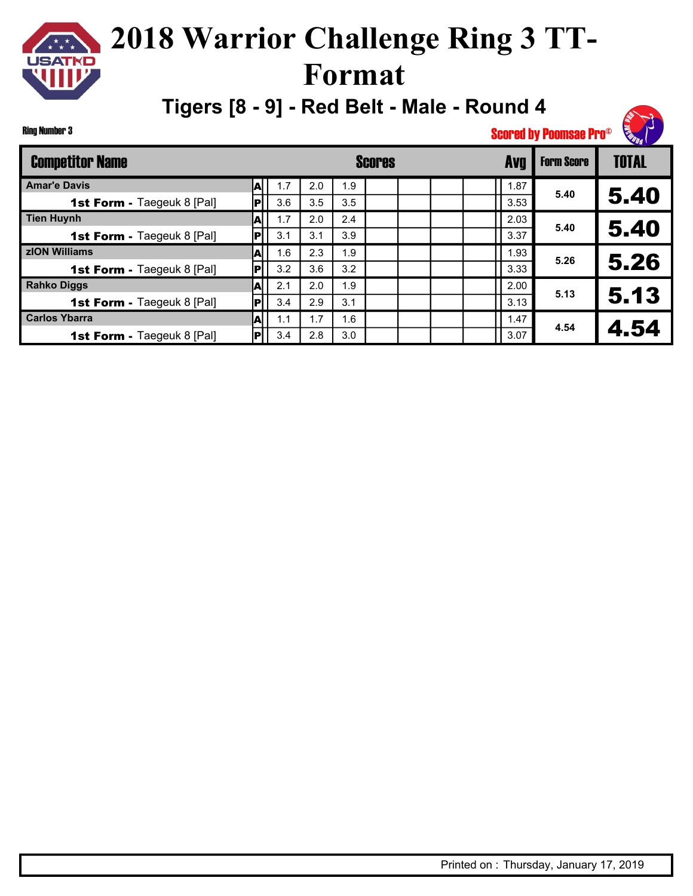**Tigers [8 - 9] - Red Belt - Male - Round 4**

Ring Number 3

| <b>Competitor Name</b>            |     |     |     |                 | Scores |  | <b>Avg</b> | <b>Form Score</b> | <b>TOTAL</b> |
|-----------------------------------|-----|-----|-----|-----------------|--------|--|------------|-------------------|--------------|
| <b>Amar'e Davis</b>               |     | 1.7 | 2.0 | 1.9             |        |  | 1.87       | 5.40              |              |
| <b>1st Form - Taegeuk 8 [Pal]</b> | IPI | 3.6 | 3.5 | 3.5             |        |  | 3.53       |                   | 5.40         |
| <b>Tien Huynh</b>                 |     | 1.7 | 2.0 | 2.4             |        |  | 2.03       | 5.40              |              |
| <b>1st Form - Taegeuk 8 [Pal]</b> | lPl | 3.1 | 3.1 | 3.9             |        |  | 3.37       |                   | 5.40         |
| zION Williams                     |     | 1.6 | 2.3 | $\overline{.9}$ |        |  | 1.93       | 5.26              |              |
| <b>1st Form - Taegeuk 8 [Pal]</b> | IР  | 3.2 | 3.6 | 3.2             |        |  | 3.33       |                   | 5.26         |
| <b>Rahko Diggs</b>                |     | 2.1 | 2.0 | 1.9             |        |  | 2.00       | 5.13              |              |
| <b>1st Form - Taegeuk 8 [Pal]</b> | lPi | 3.4 | 2.9 | 3.1             |        |  | 3.13       |                   | 5.13         |
| <b>Carlos Ybarra</b>              | ΙAΙ | 1.1 | 1.7 | 1.6             |        |  | 1.47       | 4.54              |              |
| <b>1st Form - Taegeuk 8 [Pal]</b> | Ы   | 3.4 | 2.8 | 3.0             |        |  | 3.07       |                   | 4.54         |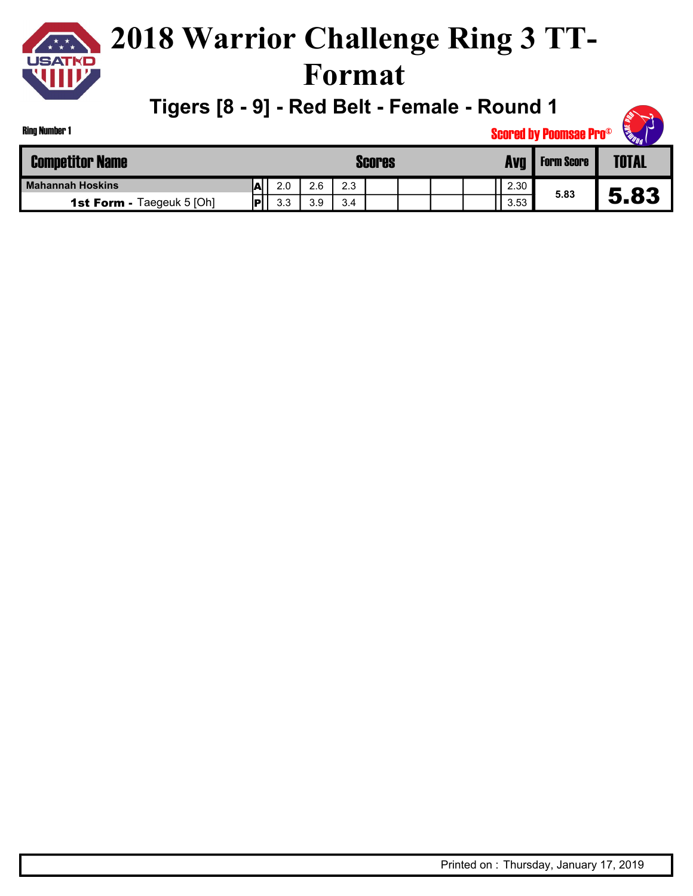

#### **2018 Warrior Challenge Ring 3 TT-Format**

**Tigers [8 - 9] - Red Belt - Female - Round 1**

| King Number 1                    |     |     |     |     |               |  |      | <b>Scored by Poomsae Pro®</b> | <b>SEE DUE</b> |
|----------------------------------|-----|-----|-----|-----|---------------|--|------|-------------------------------|----------------|
| <b>Competitor Name</b>           |     |     |     |     | <b>Scores</b> |  | Avg  | <b>Form Score</b>             | <b>TOTAL</b>   |
| <b>Mahannah Hoskins</b>          | А   | 2.0 | 2.6 | 2.3 |               |  | 2.30 |                               |                |
| <b>1st Form - Taegeuk 5 [Oh]</b> | iD' | 3.3 | 3.9 | 3.4 |               |  | 3.53 | 5.83                          | 5.83           |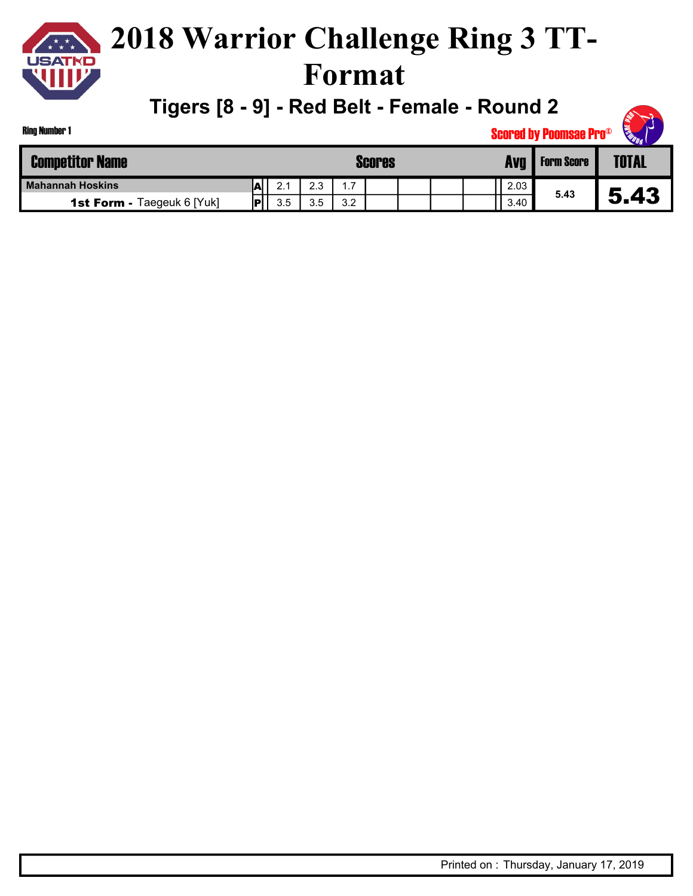

**Tigers [8 - 9] - Red Belt - Female - Round 2**

| <b>Ring Number 1</b><br><b>Scored by Poomsae Pro®</b> |     |     |     |     |               |  |  |  |      |                   |              |
|-------------------------------------------------------|-----|-----|-----|-----|---------------|--|--|--|------|-------------------|--------------|
| <b>Competitor Name</b>                                |     |     |     |     | <b>Scores</b> |  |  |  | Avg  | <b>Form Score</b> | <b>TOTAL</b> |
| <b>Mahannah Hoskins</b>                               | İΑ  | 2.1 | 2.3 | 1.7 |               |  |  |  | 2.03 |                   |              |
| <b>1st Form - Taegeuk 6 [Yuk]</b>                     | IPI | 3.5 | 3.5 | 3.2 |               |  |  |  | 3.40 | 5.43              | 5.43         |

**RADIO**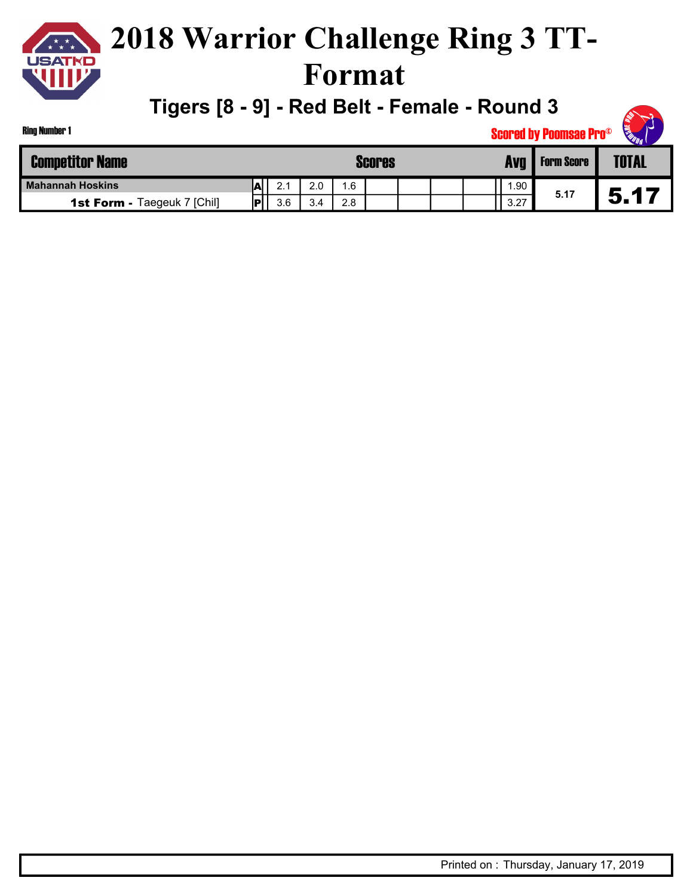

**Tigers [8 - 9] - Red Belt - Female - Round 3**

| Ring Number 1                      | <b>READAN</b><br><b>Scored by Poomsae Pro®</b> |     |     |     |               |  |  |  |      |                   |              |  |
|------------------------------------|------------------------------------------------|-----|-----|-----|---------------|--|--|--|------|-------------------|--------------|--|
| <b>Competitor Name</b>             |                                                |     |     |     | <b>Scores</b> |  |  |  | Avg  | <b>Form Score</b> | <b>TOTAL</b> |  |
| <b>Mahannah Hoskins</b>            | ΙAΙ                                            | 2.1 | 2.0 | .6  |               |  |  |  | .90  |                   |              |  |
| <b>1st Form - Taegeuk 7 [Chil]</b> | ∣P′                                            | 3.6 | 3.4 | 2.8 |               |  |  |  | 3.27 | 5.17              | 5.17         |  |

**REAL PROPERTY**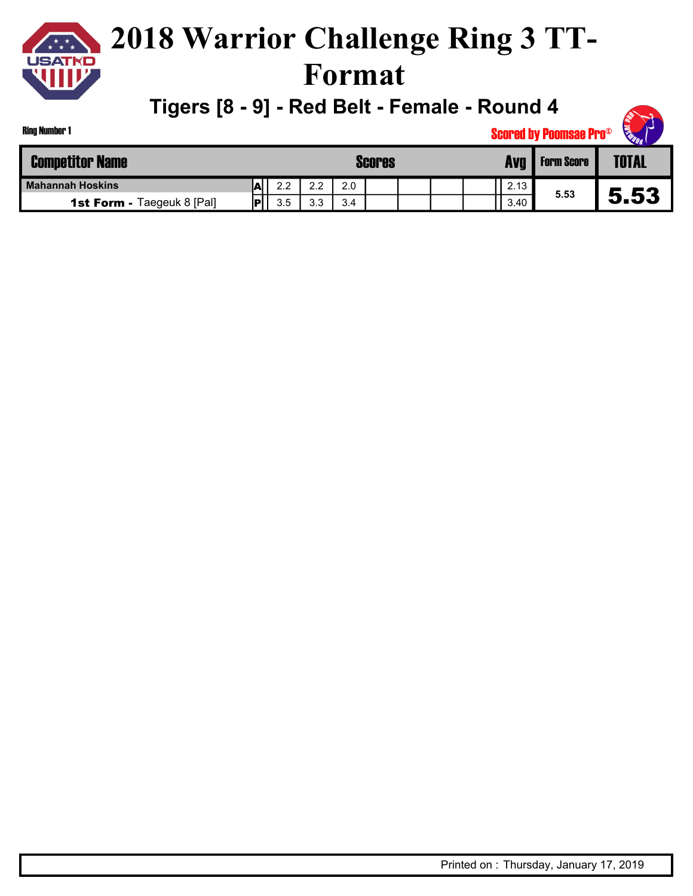

**Tigers [8 - 9] - Red Belt - Female - Round 4**

| Ring Number 1                     |     |     |     |     |               |  |      | <b>Scored by Poomsae Pro®</b> | <b>CENTRAL</b><br>$\overline{\phantom{a}}$ |
|-----------------------------------|-----|-----|-----|-----|---------------|--|------|-------------------------------|--------------------------------------------|
| <b>Competitor Name</b>            |     |     |     |     | <b>Scores</b> |  |      | <b>Form Score</b>             | TOTAL                                      |
| Mahannah Hoskins                  | .AL | 2.2 | 2.2 | 2.0 |               |  | 2.13 |                               |                                            |
| <b>1st Form - Taegeuk 8 [Pal]</b> | IP' | 3.5 | 3.3 | 3.4 |               |  | 3.40 | 5.53                          | 5.53                                       |

**RANT READ**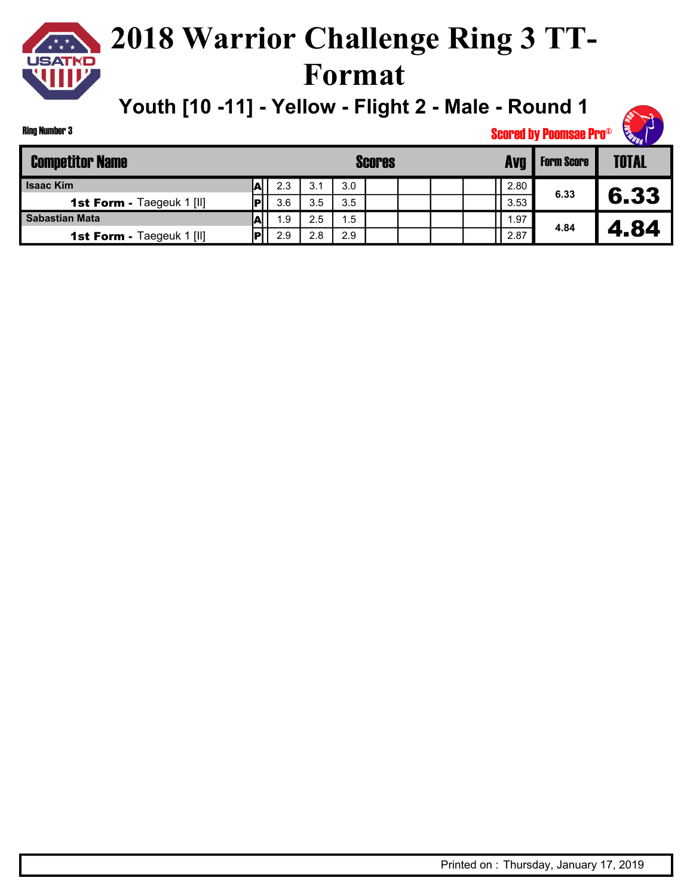## **USATKD**

### **2018 Warrior Challenge Ring 3 TT-Format**

**Youth [10 -11] - Yellow - Flight 2 - Male - Round 1**

| <b>Competitor Name</b>           |   |     |     | <b>Scores</b> | <b>Form Score</b> | <b>TOTAL</b> |      |      |      |
|----------------------------------|---|-----|-----|---------------|-------------------|--------------|------|------|------|
| <b>Isaac Kim</b>                 | A | 2.3 | 3.1 | 3.0           |                   |              | 2.80 |      |      |
| <b>1st Form - Taegeuk 1 [II]</b> |   | 3.6 | 3.5 | 3.5           |                   |              | 3.53 | 6.33 | 6.33 |
| Sabastian Mata                   |   | 1.9 | 2.5 | .5            |                   |              | 1.97 |      |      |
| <b>1st Form - Taegeuk 1 [II]</b> |   | 2.9 | 2.8 | 2.9           |                   |              | 2.87 | 4.84 | 84   |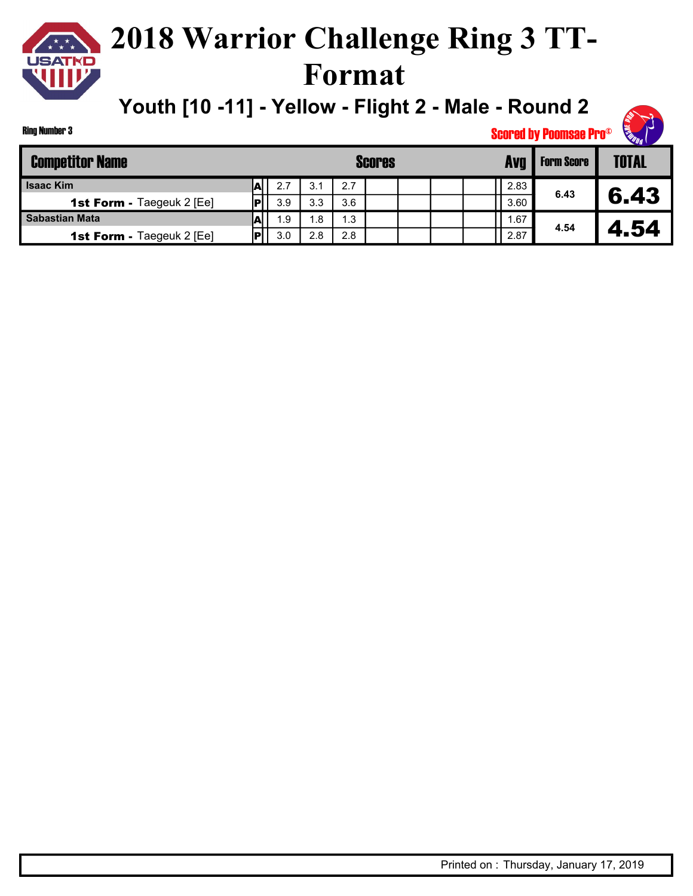### **2018 Warrior Challenge Ring 3 TT-Format**

**Youth [10 -11] - Yellow - Flight 2 - Male - Round 2**



| <b>Competitor Name</b>           |     |     | Avo<br><b>Scores</b><br><b>Form Score</b> |     |  |  |  |  |      |      |      |  |
|----------------------------------|-----|-----|-------------------------------------------|-----|--|--|--|--|------|------|------|--|
| <b>Isaac Kim</b>                 |     | 2.7 | 3.1                                       | 2.7 |  |  |  |  | 2.83 |      |      |  |
| <b>1st Form - Taegeuk 2 [Ee]</b> | lol | 3.9 | 3.3                                       | 3.6 |  |  |  |  | 3.60 | 6.43 | 6.43 |  |
| <b>Sabastian Mata</b>            | м   | 1.9 | 1.8                                       | 1.3 |  |  |  |  | .67  |      |      |  |
| <b>1st Form - Taegeuk 2 [Ee]</b> | Iы  | 3.0 | 2.8                                       | 2.8 |  |  |  |  | 2.87 | 4.54 | . 54 |  |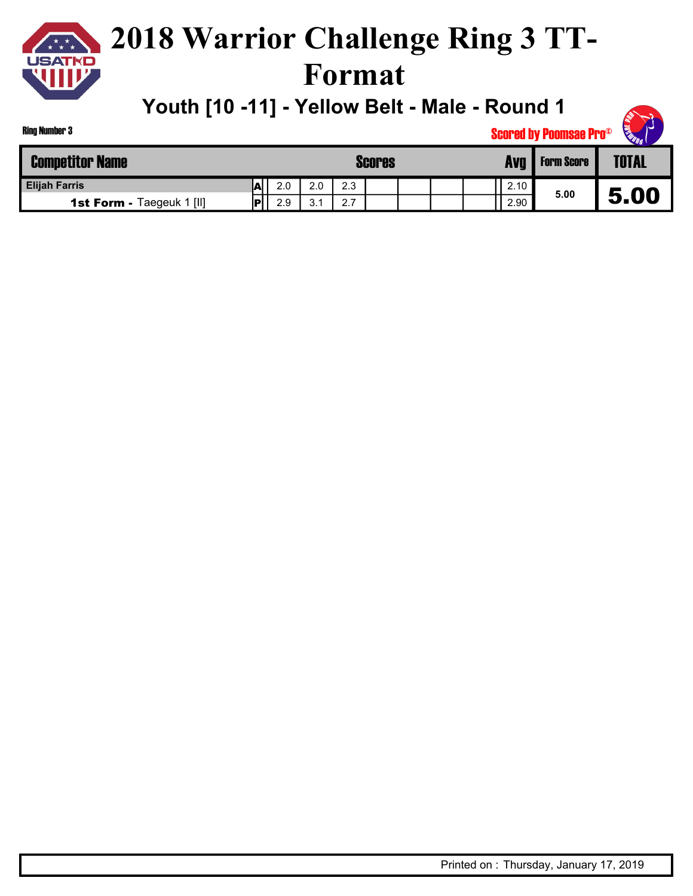

**Youth [10 -11] - Yellow Belt - Male - Round 1**

| Ring Number 3          | . <i>.</i><br><b>Scored by Poomsae Pro®</b> |   |     |     |     |        |  |  |  | <b>CERTIFICATION</b><br>◝ |                   |              |
|------------------------|---------------------------------------------|---|-----|-----|-----|--------|--|--|--|---------------------------|-------------------|--------------|
| <b>Competitor Name</b> |                                             |   |     |     |     | Scores |  |  |  | <b>Avg</b>                | <b>Form Score</b> | <b>TOTAL</b> |
| <b>Elijah Farris</b>   |                                             | A | 2.0 | 2.0 | 2.3 |        |  |  |  | 2.10                      | - - -             |              |

2.10 2.90

**5.00** 5.00

| Ring Number 3 |  |
|---------------|--|
|               |  |

**1st Form - Taegeuk 1 [II] P** 2.9 3.1 2.7

A P

Printed on : Thursday, January 17, 2019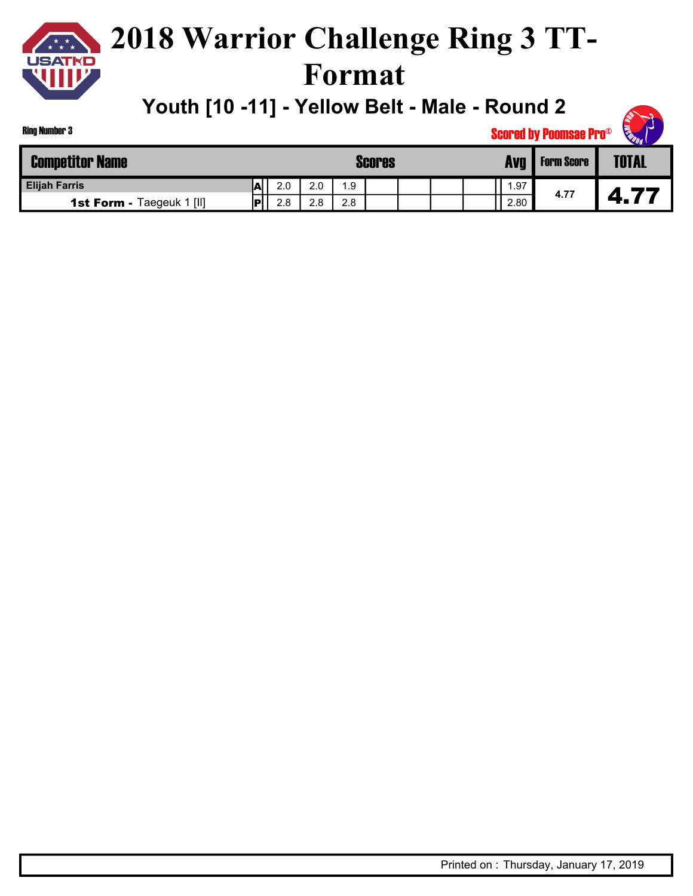

**Youth [10 -11] - Yellow Belt - Male - Round 2**

2.80

| <b>Ring Number 3</b>   |     |               |               |               |  |            | <b>Scored by Poomsae Pro®</b> | <b>CERTIFICATION</b> |
|------------------------|-----|---------------|---------------|---------------|--|------------|-------------------------------|----------------------|
| <b>Competitor Name</b> |     |               |               | <b>Scores</b> |  | <b>Avg</b> | <b>Form Score</b>             | <b>TOTAL</b>         |
| <b>Elijah Farris</b>   | ΙAΙ | 2.0           | 2.0           | 1.9           |  | 1.97       |                               |                      |
| エー・・・・・ しょうけい<br>.     | .   | $\sim$ $\sim$ | $\sim$ $\sim$ | $\sim$ $\sim$ |  | 0.00       | 4.77                          |                      |

**1st Form - Taegeuk 1 [II]** P 2.8 2.8 2.8

FI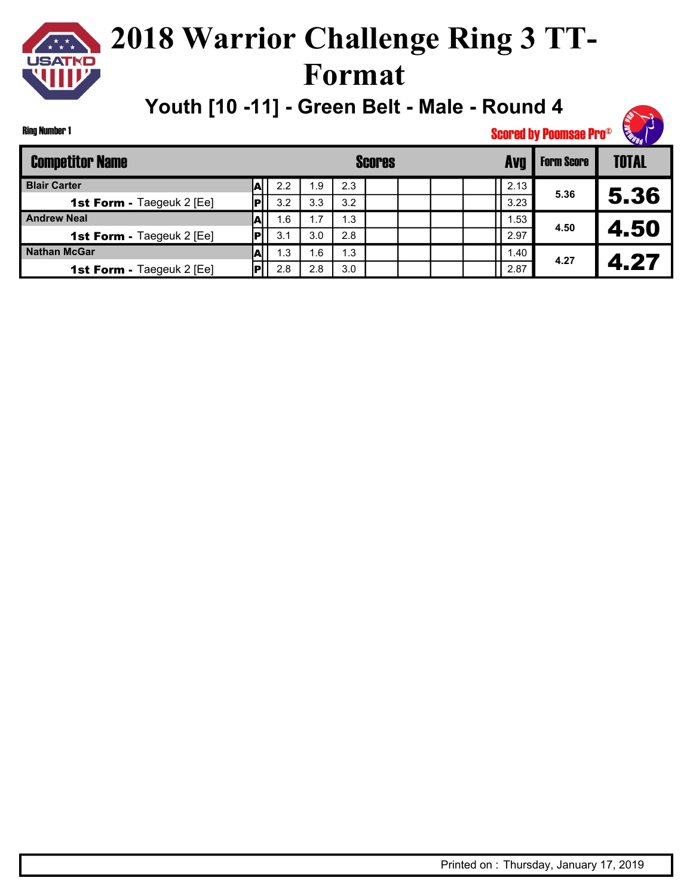## **2018 Warrior Challenge Ring 3 TT-Format**

**Youth [10 -11] - Green Belt - Male - Round 4**

Ring Number 1

| <b>Competitor Name</b>           |   |     |      |     | <b>Scores</b> |  | <b>Avr</b> | <b>Form Score</b> | <b>TOTAL</b> |
|----------------------------------|---|-----|------|-----|---------------|--|------------|-------------------|--------------|
| <b>Blair Carter</b>              |   | 2.2 | . .9 | 2.3 |               |  | 2.13       |                   |              |
| <b>1st Form - Taegeuk 2 [Ee]</b> |   | 3.2 | 3.3  | 3.2 |               |  | 3.23       | 5.36              | 5.36         |
| <b>Andrew Neal</b>               |   | 1.6 | 1.7  | 1.3 |               |  | 1.53       | 4.50              |              |
| <b>1st Form - Taegeuk 2 [Ee]</b> | ы | 3.1 | 3.0  | 2.8 |               |  | 2.97       |                   | 4.50         |
| <b>Nathan McGar</b>              |   | 1.3 | 6.،  | 1.3 |               |  | 1.40       | 4.27              |              |
| <b>1st Form - Taegeuk 2 [Ee]</b> |   | 2.8 | 2.8  | 3.0 |               |  | 2.87       |                   | 4.27         |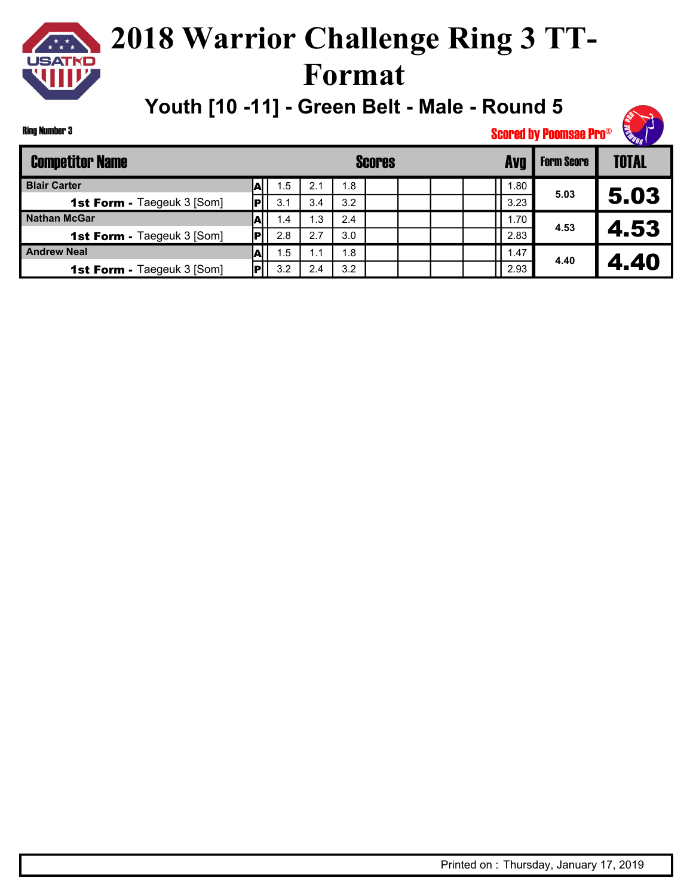Ring Number 3

## **2018 Warrior Challenge Ring 3 TT-Format**

**Youth [10 -11] - Green Belt - Male - Round 5**



| <b>Competitor Name</b>            |    |     |     |     | <b>Scores</b> |  | Avc  | <b>Form Score</b> | TOTAL |
|-----------------------------------|----|-----|-----|-----|---------------|--|------|-------------------|-------|
| <b>Blair Carter</b>               | AI | 1.5 | 2.1 | 1.8 |               |  | 1.80 |                   |       |
| <b>1st Form - Taegeuk 3 [Som]</b> |    | 3.1 | 3.4 | 3.2 |               |  | 3.23 | 5.03              | 5.03  |
| <b>Nathan McGar</b>               |    | 1.4 | l.3 | 2.4 |               |  | 1.70 | 4.53              |       |
| <b>1st Form - Taegeuk 3 [Som]</b> |    | 2.8 | 2.7 | 3.0 |               |  | 2.83 |                   | 4.53  |
| <b>Andrew Neal</b>                |    | 1.5 | 1.1 | 1.8 |               |  | 1.47 |                   |       |
| <b>1st Form - Taegeuk 3 [Som]</b> |    | 3.2 | 2.4 | 3.2 |               |  | 2.93 | 4.40              | 4.40  |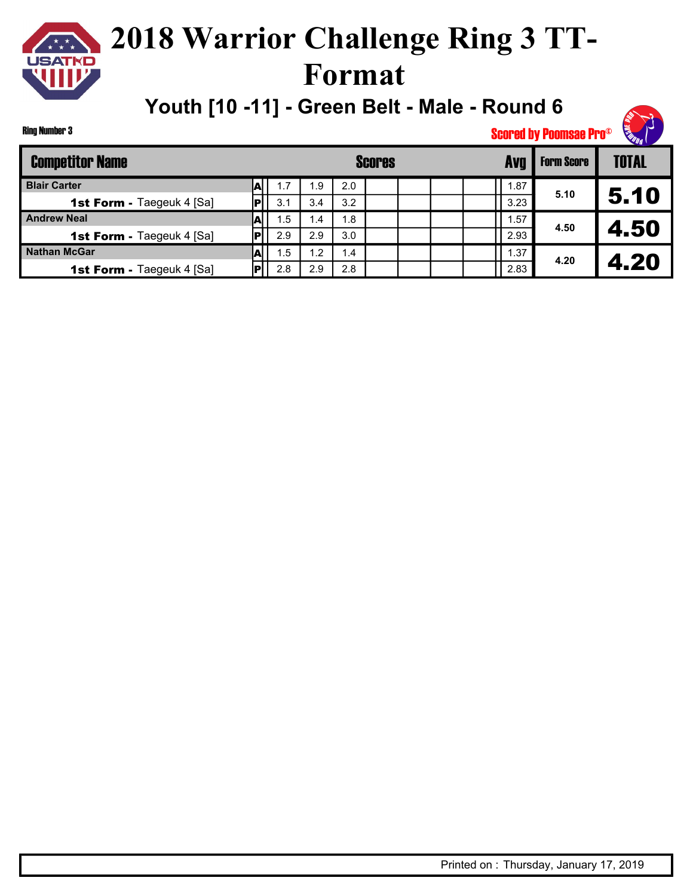## **2018 Warrior Challenge Ring 3 TT-Format**

**Youth [10 -11] - Green Belt - Male - Round 6**



Ring Number 3

| <b>Competitor Name</b>           |   |     |                |     | <b>Scores</b> |  | <b>Form Score</b> | <b>TOTAL</b> |      |
|----------------------------------|---|-----|----------------|-----|---------------|--|-------------------|--------------|------|
| <b>Blair Carter</b>              | A | 1.7 | .9             | 2.0 |               |  | 1.87              |              |      |
| <b>1st Form - Taegeuk 4 [Sa]</b> |   | 3.1 | 3.4            | 3.2 |               |  | 3.23              | 5.10         | 5.10 |
| <b>Andrew Neal</b>               | А | 1.5 | 1.4            | 1.8 |               |  | 1.57              | 4.50         |      |
| <b>1st Form - Taegeuk 4 [Sa]</b> |   | 2.9 | 2.9            | 3.0 |               |  | 2.93              |              | 4.50 |
| <b>Nathan McGar</b>              | ∼ | 1.5 | $\overline{2}$ | 1.4 |               |  | 1.37              |              |      |
| <b>1st Form - Taegeuk 4 [Sa]</b> |   | 2.8 | 2.9            | 2.8 |               |  | 2.83              | 4.20         | 4.20 |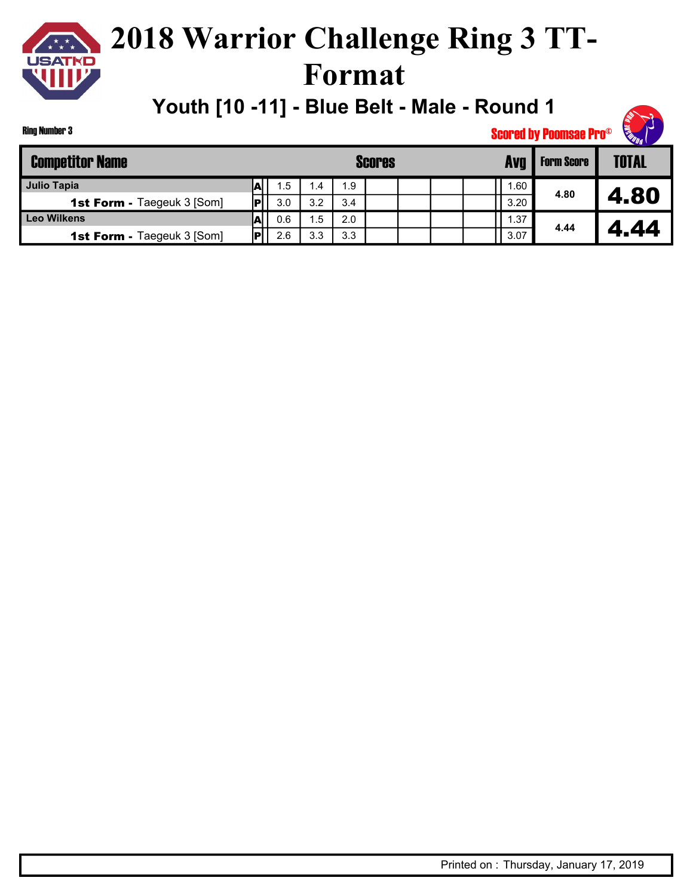

**Youth [10 -11] - Blue Belt - Male - Round 1**



Ring Number 3

| <b>Competitor Name</b>            |    |     |           |     | <b>Scores</b> | Avo | <b>Form Score</b> | <b>TOTAL</b> |      |      |
|-----------------------------------|----|-----|-----------|-----|---------------|-----|-------------------|--------------|------|------|
| Julio Tapia                       |    | 1.5 | $4 \cdot$ | 1.9 |               |     |                   | . 60         |      |      |
| <b>1st Form - Taegeuk 3 [Som]</b> |    | 3.0 | 3.2       | 3.4 |               |     |                   | 3.20         | 4.80 | 4.80 |
| <b>Leo Wilkens</b>                |    | 0.6 | . .5      | 2.0 |               |     |                   | .37          |      |      |
| <b>1st Form - Taegeuk 3 [Som]</b> | اه | 2.6 | 3.3       | 3.3 |               |     |                   | 3.07         | 4.44 | .44  |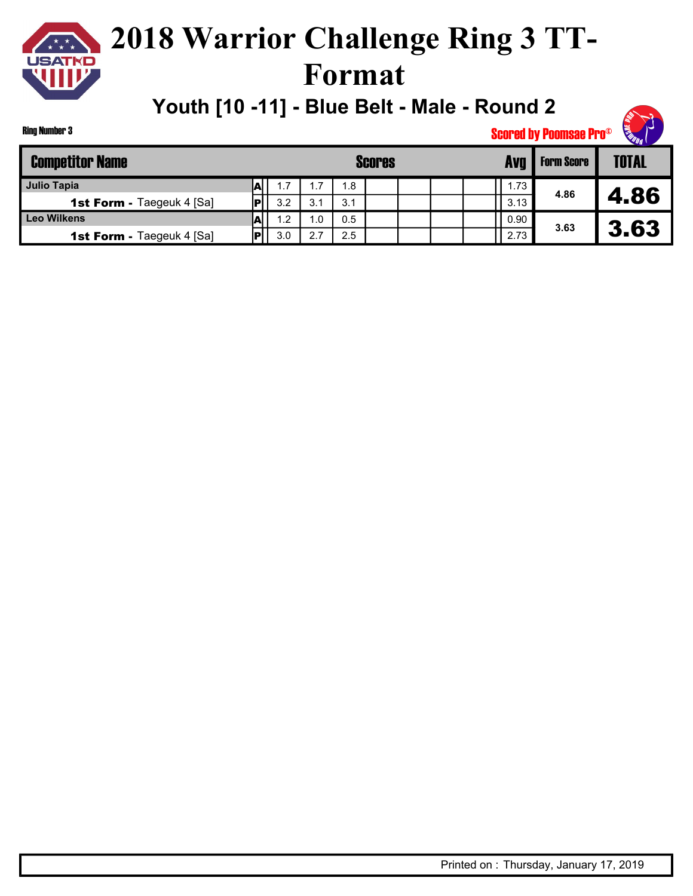

**Youth [10 -11] - Blue Belt - Male - Round 2**

| <b>SARR</b> |  |
|-------------|--|

Ring Number 3

| <b>Competitor Name</b>           |                          |     |     |     | <b>Scores</b> | Avg  | <b>Form Score</b> | <b>TOTAL</b> |
|----------------------------------|--------------------------|-----|-----|-----|---------------|------|-------------------|--------------|
| Julio Tapia                      | $\overline{\phantom{a}}$ | 1.7 | 7.، | 1.8 |               | 1.73 |                   |              |
| <b>1st Form - Taegeuk 4 [Sa]</b> | Ы                        | 3.2 | 3.1 | 3.1 |               | 3.13 | 4.86              | 4.86         |
| <b>Leo Wilkens</b>               | vы                       | 1.2 | .0  | 0.5 |               | 0.90 |                   |              |
| <b>1st Form - Taegeuk 4 [Sa]</b> |                          | 3.0 | 2.7 | 2.5 |               | 2.73 | 3.63              | 3.63         |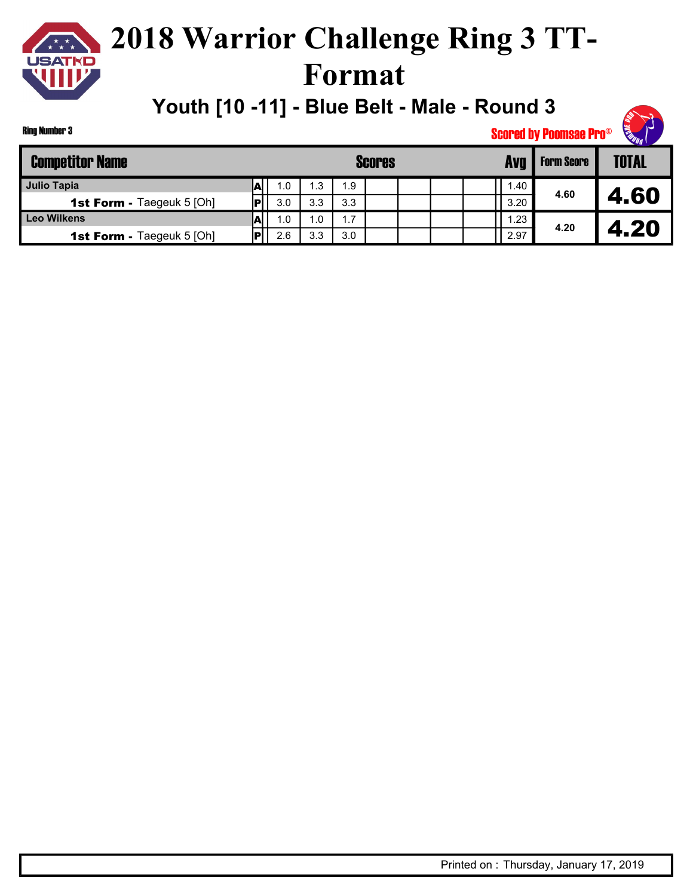

### **2018 Warrior Challenge Ring 3 TT-Format**

**Youth [10 -11] - Blue Belt - Male - Round 3**



| <b>Competitor Name</b>           |   |     |                  | <b>Scores</b> | <b>Form Score</b> | <b>TOTAL</b> |      |      |      |
|----------------------------------|---|-----|------------------|---------------|-------------------|--------------|------|------|------|
| Julio Tapia                      |   | 1.0 | . 3              | 1.9           |                   |              | 1.40 |      |      |
| <b>1st Form - Taegeuk 5 [Oh]</b> |   | 3.0 | 3.3              | 3.3           |                   |              | 3.20 | 4.60 | 4.60 |
| Leo Wilkens                      | A | 1.0 | $\overline{0}$ . | 1.7           |                   |              | .23  |      |      |
| <b>1st Form - Taegeuk 5 [Oh]</b> |   | 2.6 | 3.3              | 3.0           |                   |              | 2.97 | 4.20 | 4.20 |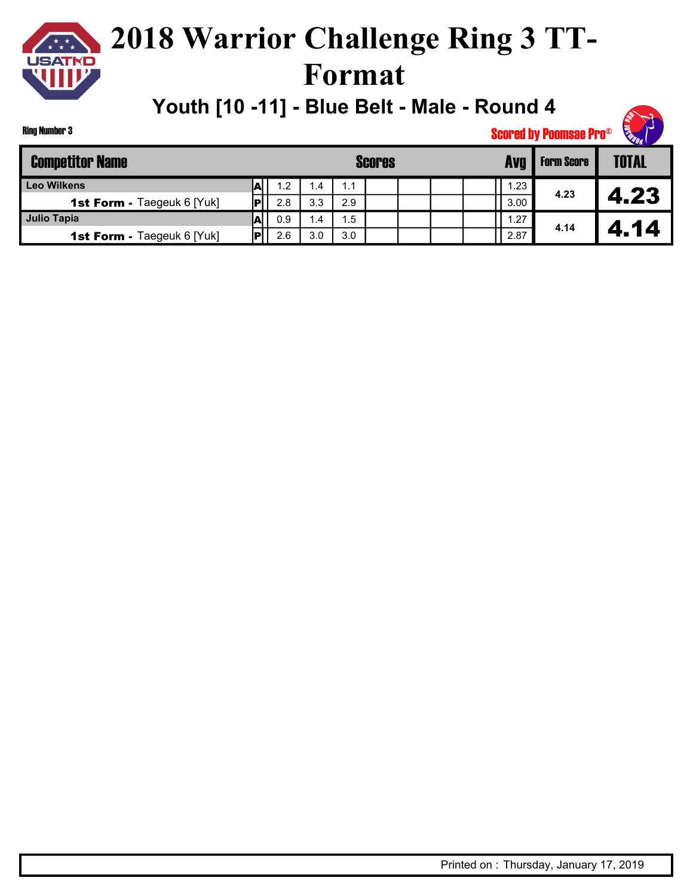

**Youth [10 -11] - Blue Belt - Male - Round 4**

| <b>SOUTH</b> |  |
|--------------|--|

Ring Number 3

| <b>Competitor Name</b>            |     |     |     | <b>Scores</b> |  | Avg  | <b>Form Score</b> | <b>TOTAL</b> |
|-----------------------------------|-----|-----|-----|---------------|--|------|-------------------|--------------|
| <b>Leo Wilkens</b>                | 1.2 | 1.4 | 1.1 |               |  | .23  |                   |              |
| <b>1st Form - Taegeuk 6 [Yuk]</b> | 2.8 | 3.3 | 2.9 |               |  | 3.00 | 4.23              | 4.23         |
| Julio Tapia                       | 0.9 | 1.4 | 1.5 |               |  | .27  |                   |              |
| 1st Form - Taegeuk 6 [Yuk]        | 2.6 | 3.0 | 3.0 |               |  | 2.87 | 4.14              | 4.14         |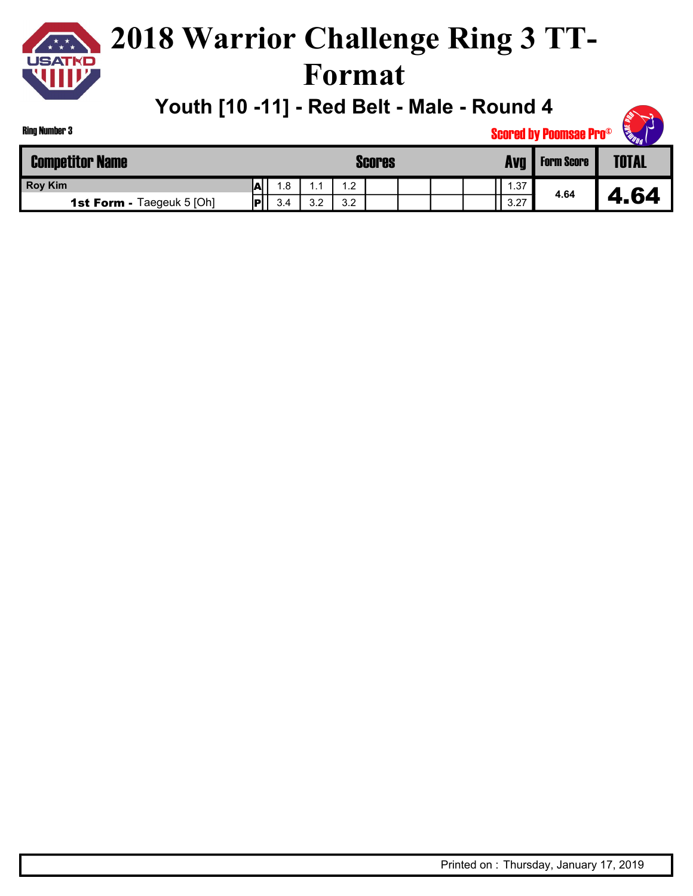

### **2018 Warrior Challenge Ring 3 TT-Format**

**Youth [10 -11] - Red Belt - Male - Round 4**

| <b>SUD</b> |
|------------|
|------------|

| <b>Competitor Name</b>           |    |     |            |            | <b>Scores</b> |  | <b>Avq</b> | <b>Form Score</b> | <b>TOTAL</b> |
|----------------------------------|----|-----|------------|------------|---------------|--|------------|-------------------|--------------|
| <b>Roy Kim</b>                   | M  | .8  | . .        | $\cdot$ .2 |               |  | .37        |                   |              |
| <b>1st Form - Taegeuk 5 [Oh]</b> | IP | 3.4 | າ າ<br>ے.د | 3.2        |               |  | 3.27       | 4.64              | .64<br>◢     |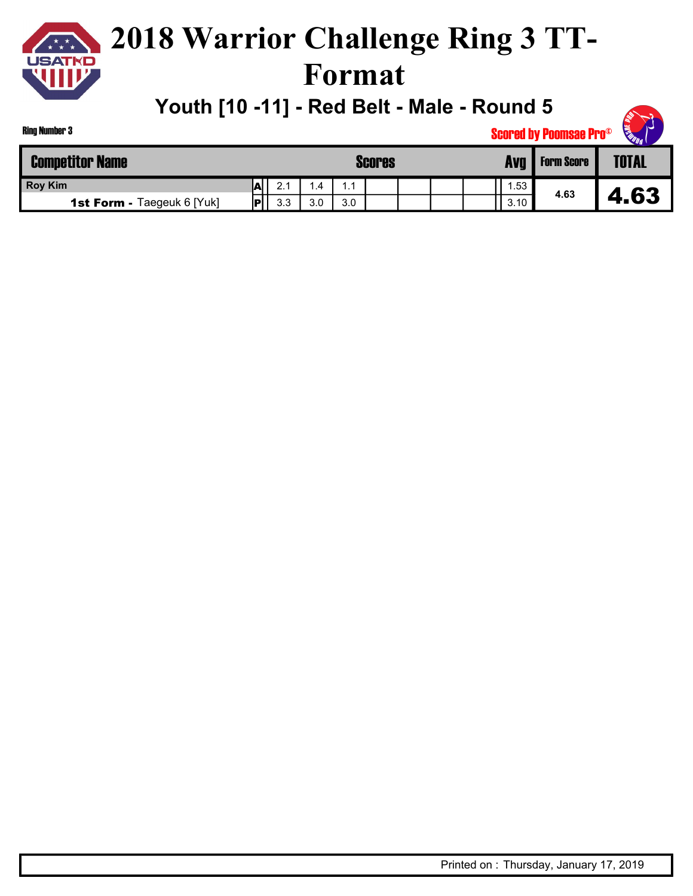

### **2018 Warrior Challenge Ring 3 TT-Format**

**Youth [10 -11] - Red Belt - Male - Round 5**

| <b>SULLE</b> |
|--------------|
|--------------|

| <b>Competitor Name</b>            |     |     |               |     | <b>Scores</b> |  | Avq  | <b>Form Score</b> | <b>TOTAL</b> |
|-----------------------------------|-----|-----|---------------|-----|---------------|--|------|-------------------|--------------|
| <b>Roy Kim</b>                    | IA, | 2.1 | $\mathcal{A}$ |     |               |  | .53  |                   |              |
| <b>1st Form - Taegeuk 6 [Yuk]</b> | ю   | 3.3 | 3.0           | 3.0 |               |  | 3.10 | 4.63              | 63           |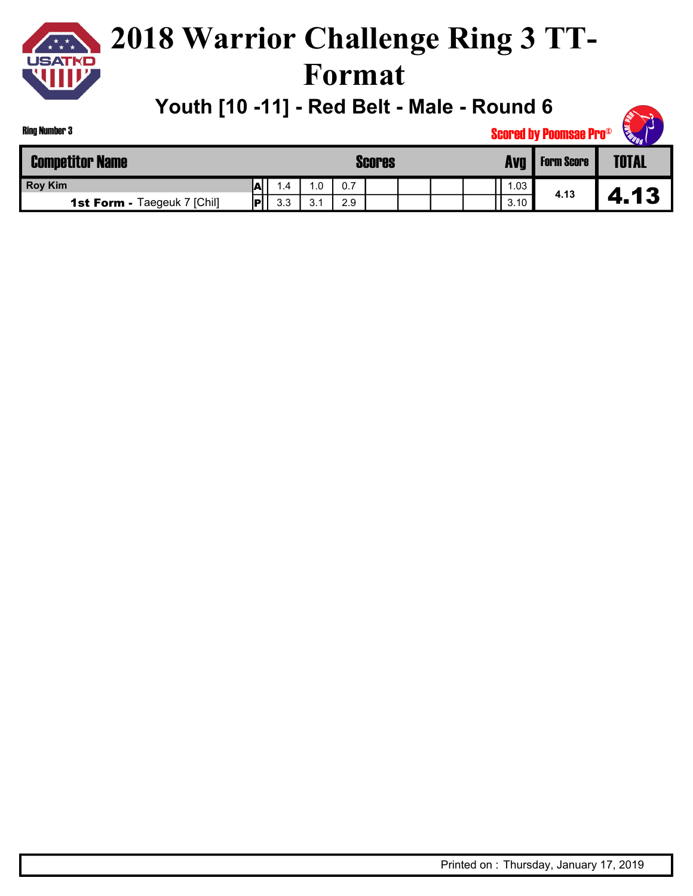

### **2018 Warrior Challenge Ring 3 TT-Format**

**Youth [10 -11] - Red Belt - Male - Round 6**

| <b>Competitor Name</b>             | <b>Scores</b> |       |                        |     |  |  |  | Avg  | <b>Form Score</b> | <b>TOTAL</b> |
|------------------------------------|---------------|-------|------------------------|-----|--|--|--|------|-------------------|--------------|
| <b>Roy Kim</b>                     | А             | . . 4 | ⌒<br>.v                | 0.7 |  |  |  | .03  |                   |              |
| <b>1st Form - Taegeuk 7 [Chil]</b> | ID            | 3.3   | $\sim$ $\lambda$<br>ບ. | 2.9 |  |  |  | 3.10 | 4.13              | 13<br>4.     |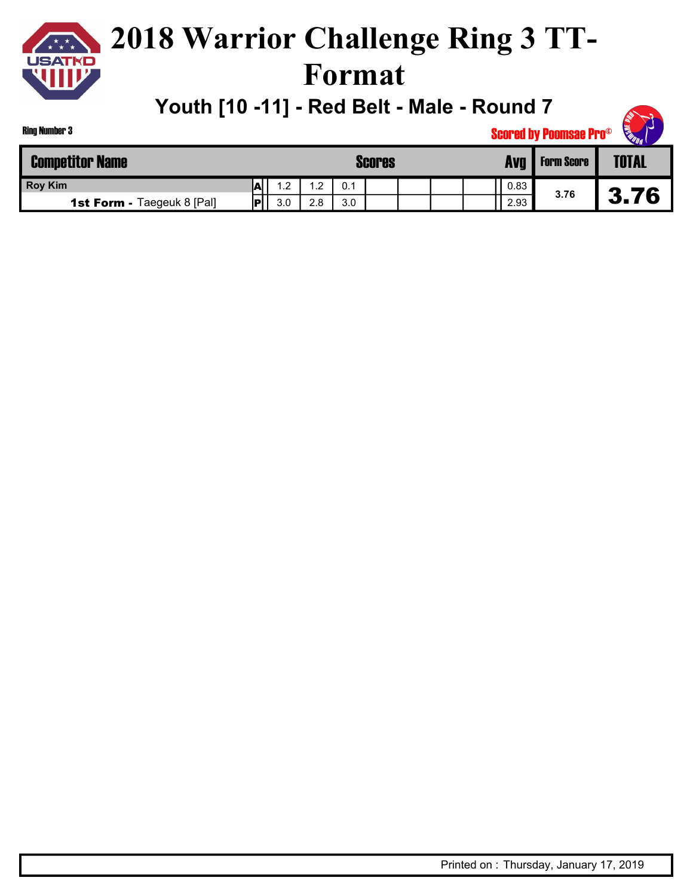

## **2018 Warrior Challenge Ring 3 TT-Format**

**Youth [10 -11] - Red Belt - Male - Round 7**

| <b>Ring Number 3</b>              |               |     | <b>READER</b><br><b>Scored by Poomsae Pro®</b> |     |  |  |  |  |      |                   |              |  |
|-----------------------------------|---------------|-----|------------------------------------------------|-----|--|--|--|--|------|-------------------|--------------|--|
| <b>Competitor Name</b>            | <b>Scores</b> |     |                                                |     |  |  |  |  | Avg  | <b>Form Score</b> | <b>TOTAL</b> |  |
| <b>Roy Kim</b>                    | ΙAΙ           | 1.2 | $\cdot$                                        | 0.1 |  |  |  |  | 0.83 |                   |              |  |
| <b>1st Form - Taegeuk 8 [Pal]</b> | <b>PI</b>     | 3.0 | 2.8                                            | 3.0 |  |  |  |  | 2.93 | 3.76              | 3.76         |  |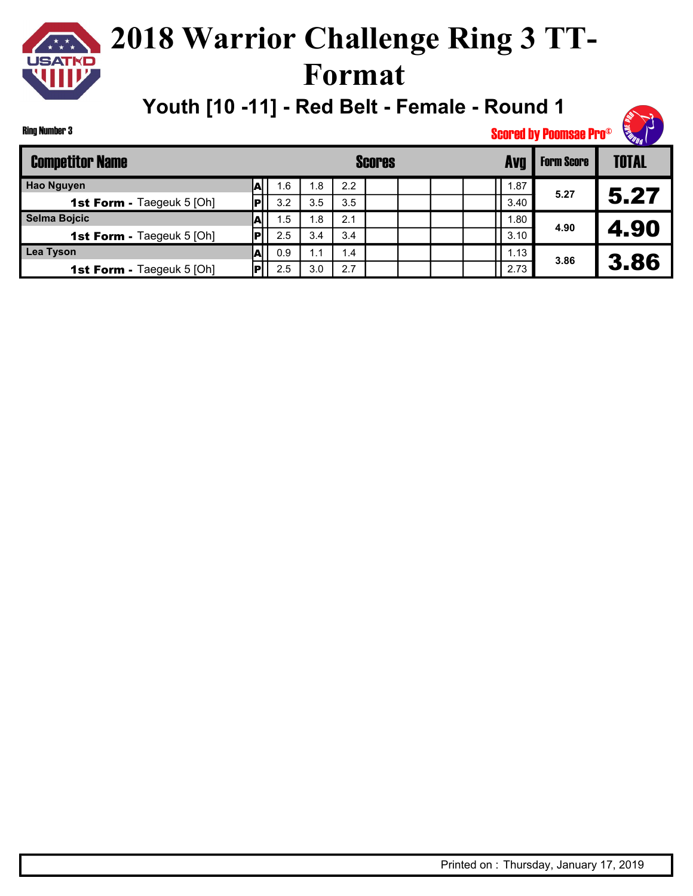## **2018 Warrior Challenge Ring 3 TT-Format**

**Youth [10 -11] - Red Belt - Female - Round 1**



| <b>Competitor Name</b>           |    |     |                |     | <b>Scores</b> | Avq | <b>Form Score</b> | <b>TOTAL</b> |      |
|----------------------------------|----|-----|----------------|-----|---------------|-----|-------------------|--------------|------|
| <b>Hao Nguyen</b>                |    | 1.6 | . .8           | 2.2 |               |     | 1.87              |              |      |
| <b>1st Form - Taegeuk 5 [Oh]</b> |    | 3.2 | 3.5            | 3.5 |               |     | 3.40              | 5.27         | 5.27 |
| Selma Bojcic                     |    | 1.5 | $\mathsf{R}$ . | 2.1 |               |     | .80               |              |      |
| <b>1st Form - Taegeuk 5 [Oh]</b> |    | 2.5 | 3.4            | 3.4 |               |     | 3.10              | 4.90         | 4.90 |
| <b>Lea Tyson</b>                 | AI | 0.9 | 1.1            | 1.4 |               |     | 1.13              | 3.86         |      |
| <b>1st Form - Taegeuk 5 [Oh]</b> |    | 2.5 | 3.0            | 2.7 |               |     | 2.73              |              | 3.86 |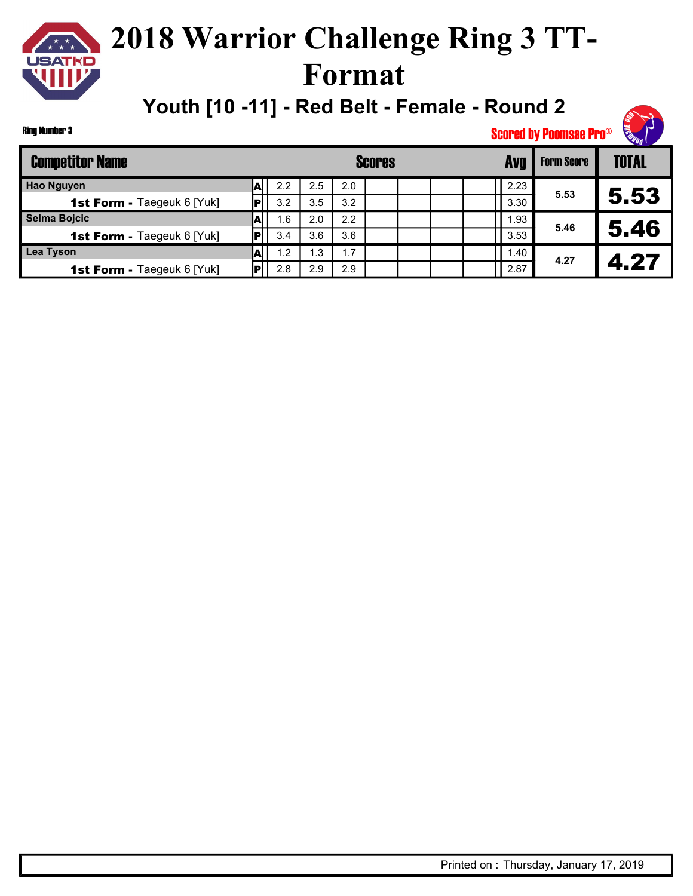## **2018 Warrior Challenge Ring 3 TT-Format**

**Youth [10 -11] - Red Belt - Female - Round 2**

Ring Number 3

| <b>Competitor Name</b>            |      | <b>Scores</b> |      |     |  |  |  |  |      | <b>Form Score</b> | <b>TOTAL</b> |
|-----------------------------------|------|---------------|------|-----|--|--|--|--|------|-------------------|--------------|
| <b>Hao Nguyen</b>                 |      | 2.2           | 2.5  | 2.0 |  |  |  |  | 2.23 | 5.53              |              |
| <b>1st Form - Taegeuk 6 [Yuk]</b> |      | 3.2           | 3.5  | 3.2 |  |  |  |  | 3.30 |                   | 5.53         |
| Selma Bojcic                      |      | 1.6           | 2.0  | 2.2 |  |  |  |  | 1.93 |                   |              |
| <b>1st Form - Taegeuk 6 [Yuk]</b> |      | 3.4           | 3.6  | 3.6 |  |  |  |  | 3.53 | 5.46              | 5.46         |
| Lea Tyson                         | .A∣∴ | 1.2           | 3. ا | 1.7 |  |  |  |  | 1.40 | 4.27              | 4.27         |
| <b>1st Form - Taegeuk 6 [Yuk]</b> |      | 2.8           | 2.9  | 2.9 |  |  |  |  | 2.87 |                   |              |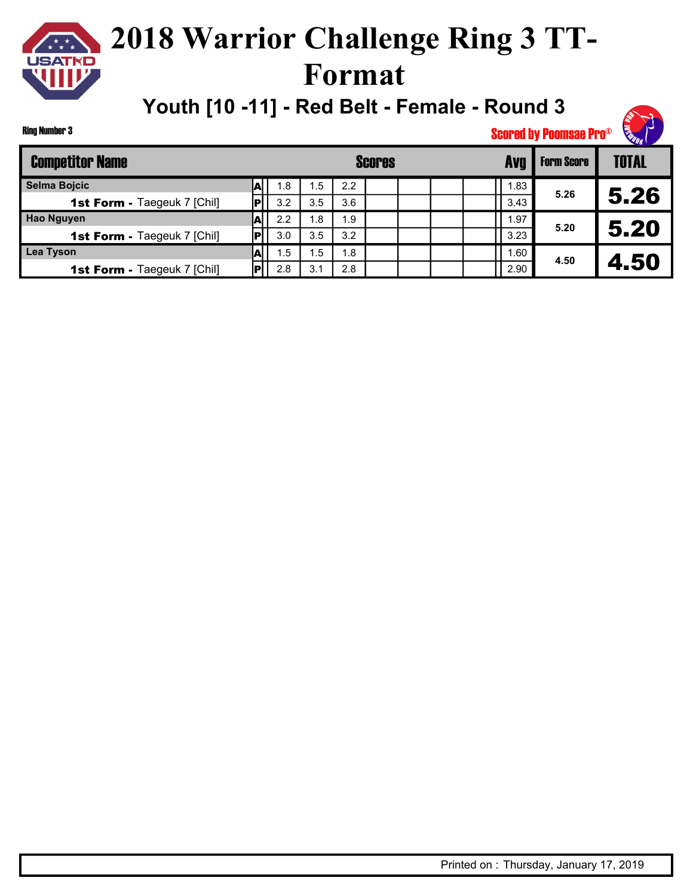## **2018 Warrior Challenge Ring 3 TT-Format**

**Youth [10 -11] - Red Belt - Female - Round 3**

Ring Number 3

| <b>Competitor Name</b>             |    |     |     |     | Scores |      | <b>Form Score</b> | <b>TOTAL</b> |
|------------------------------------|----|-----|-----|-----|--------|------|-------------------|--------------|
| Selma Bojcic                       |    | 1.8 | . 5 | 2.2 |        | . 83 | 5.26              |              |
| <b>1st Form - Taegeuk 7 [Chil]</b> |    | 3.2 | 3.5 | 3.6 |        | 3.43 |                   | 5.26         |
| <b>Hao Nguyen</b>                  |    | 2.2 | 8.، | 1.9 |        | .97  |                   |              |
| <b>1st Form - Taegeuk 7 [Chil]</b> |    | 3.0 | 3.5 | 3.2 |        | 3.23 | 5.20              | 5.20         |
| Lea Tyson                          | AI | 1.5 | 5.، | 1.8 |        | i.60 | 4.50              | 4.50         |
| <b>1st Form - Taegeuk 7 [Chil]</b> |    | 2.8 | 3.1 | 2.8 |        | 2.90 |                   |              |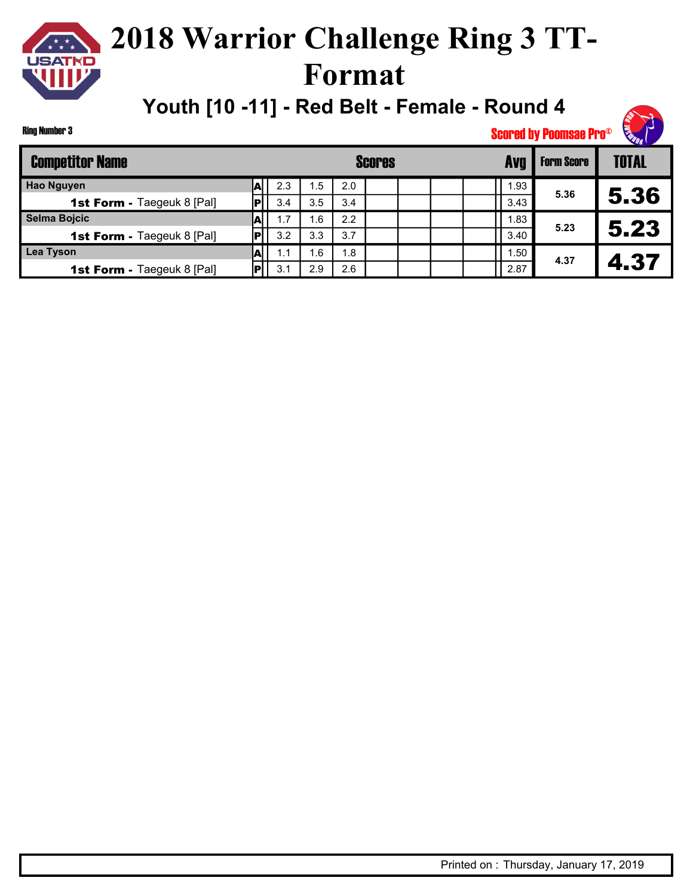## **2018 Warrior Challenge Ring 3 TT-Format**

**Youth [10 -11] - Red Belt - Female - Round 4**

Ring Number 3

| <b>Competitor Name</b>            |    |     |     |     | <b>Scores</b> |  | Avg | <b>Form Score</b> | <b>TOTAL</b> |      |
|-----------------------------------|----|-----|-----|-----|---------------|--|-----|-------------------|--------------|------|
| <b>Hao Nguyen</b>                 |    | 2.3 | . 5 | 2.0 |               |  |     | 93،،              | 5.36         |      |
| <b>1st Form - Taegeuk 8 [Pal]</b> | РI | 3.4 | 3.5 | 3.4 |               |  |     | 3.43              |              | 5.36 |
| Selma Bojcic                      |    | 1.7 | 6.، | 2.2 |               |  |     | 1.83              |              |      |
| <b>1st Form - Taegeuk 8 [Pal]</b> | РI | 3.2 | 3.3 | 3.7 |               |  |     | 3.40              | 5.23         | 5.23 |
| Lea Tyson                         | Al | 1.1 | .6  | 1.8 |               |  |     | 1.50              | 4.37         | 4.37 |
| <b>1st Form - Taegeuk 8 [Pal]</b> | ÞІ | 3.1 | 2.9 | 2.6 |               |  |     | 2.87              |              |      |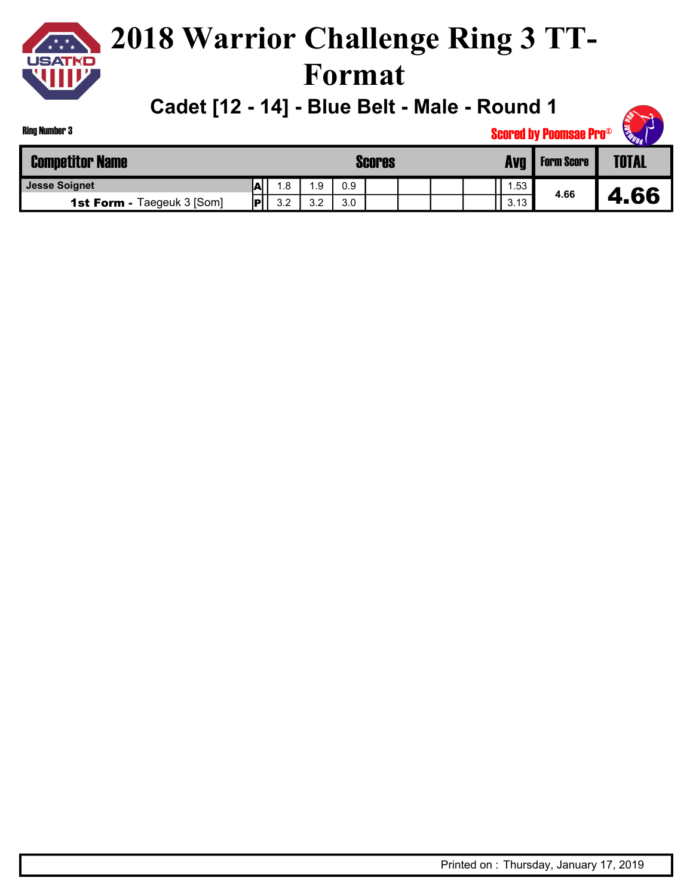

**Cadet [12 - 14] - Blue Belt - Male - Round 1**

| <b>SALD</b> |
|-------------|
|-------------|

| <b>Ring Number 3</b>              |   |     |     |     |               |  | <b>EURICE</b><br><b>Scored by Poomsae Pro®</b> |      |                   |              |  |  |  |
|-----------------------------------|---|-----|-----|-----|---------------|--|------------------------------------------------|------|-------------------|--------------|--|--|--|
| <b>Competitor Name</b>            |   |     |     |     | <b>Scores</b> |  |                                                | Avg  | <b>Form Score</b> | <b>TOTAL</b> |  |  |  |
| <b>Jesse Soignet</b>              | А | 1.8 | 1.9 | 0.9 |               |  |                                                | .53  |                   |              |  |  |  |
| <b>1st Form - Taegeuk 3 [Som]</b> | P | 3.2 | 3.2 | 3.0 |               |  |                                                | 3.13 | 4.66              | 66           |  |  |  |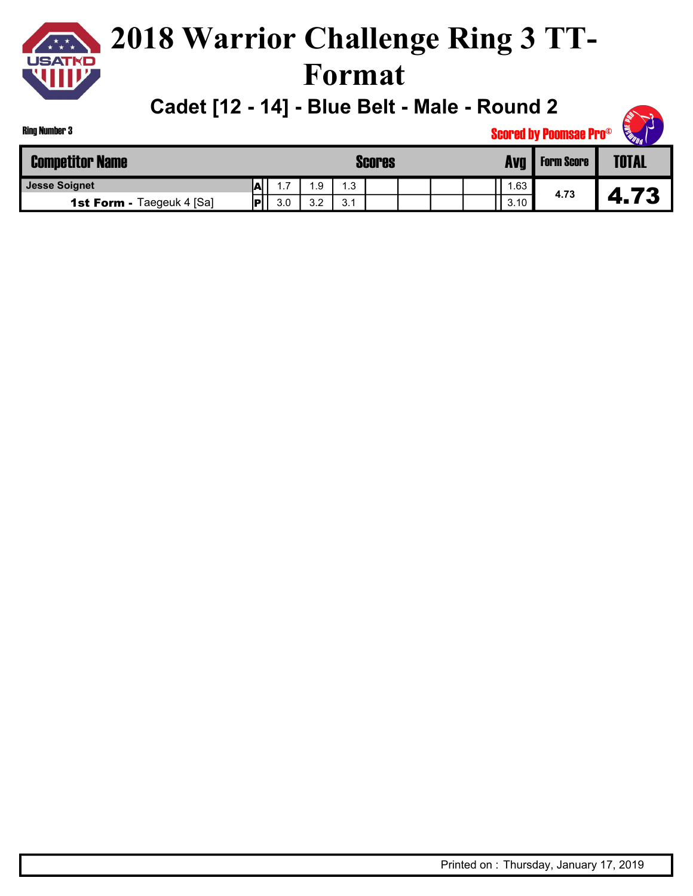

### **2018 Warrior Challenge Ring 3 TT-Format**

**Cadet [12 - 14] - Blue Belt - Male - Round 2**

| <b>Ring Number 3</b>             | <b>Scored by Poomsae Pro®</b> |               |     |     |  |  |  |  |      |                   |              |  |
|----------------------------------|-------------------------------|---------------|-----|-----|--|--|--|--|------|-------------------|--------------|--|
| <b>Competitor Name</b>           |                               | <b>Scores</b> |     |     |  |  |  |  | Ava  | <b>Form Score</b> | <b>TOTAL</b> |  |
| <b>Jesse Soignet</b>             | IА                            |               | .9  | .3  |  |  |  |  | .63  |                   |              |  |
| <b>1st Form - Taegeuk 4 [Sa]</b> | ∣P′                           | 3.0           | 3.2 | 3.1 |  |  |  |  | 3.10 | 4.73              | 4.73         |  |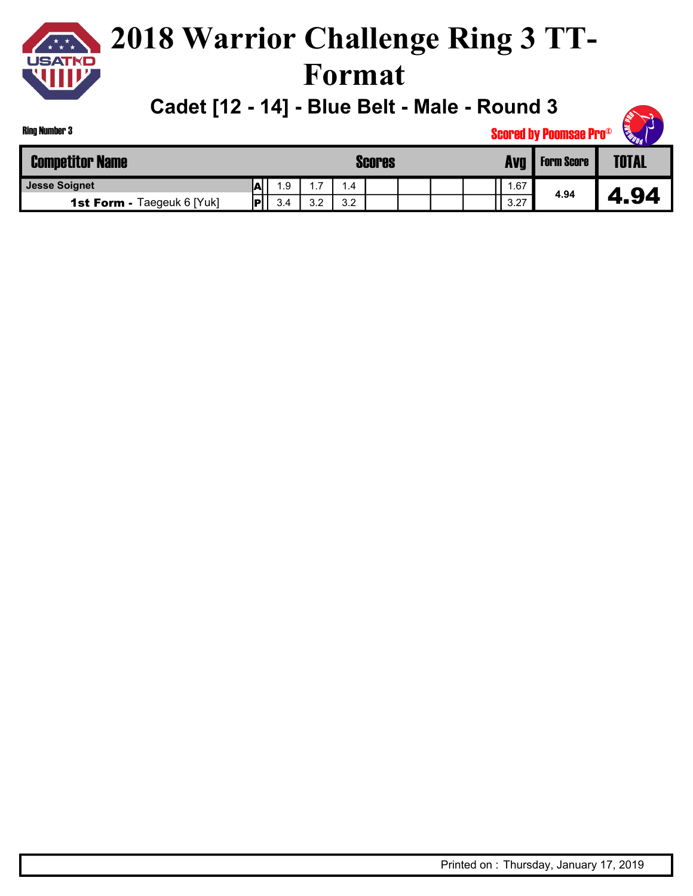

### **2018 Warrior Challenge Ring 3 TT-Format**

**Cadet [12 - 14] - Blue Belt - Male - Round 3**

| <b>Competitor Name</b>            |                               |      |        |     | <b>Scores</b> |  | Avg  | <b>Form Score</b> | <b>TOTAL</b> |
|-----------------------------------|-------------------------------|------|--------|-----|---------------|--|------|-------------------|--------------|
| <b>Jesse Soignet</b>              | r<br>$\overline{\phantom{a}}$ | 9. ، | -<br>. |     |               |  | . 67 |                   |              |
| <b>1st Form - Taegeuk 6 [Yuk]</b> | ю                             | 3.4  | 3.2    | 3.2 |               |  | 3.27 | 4.94              |              |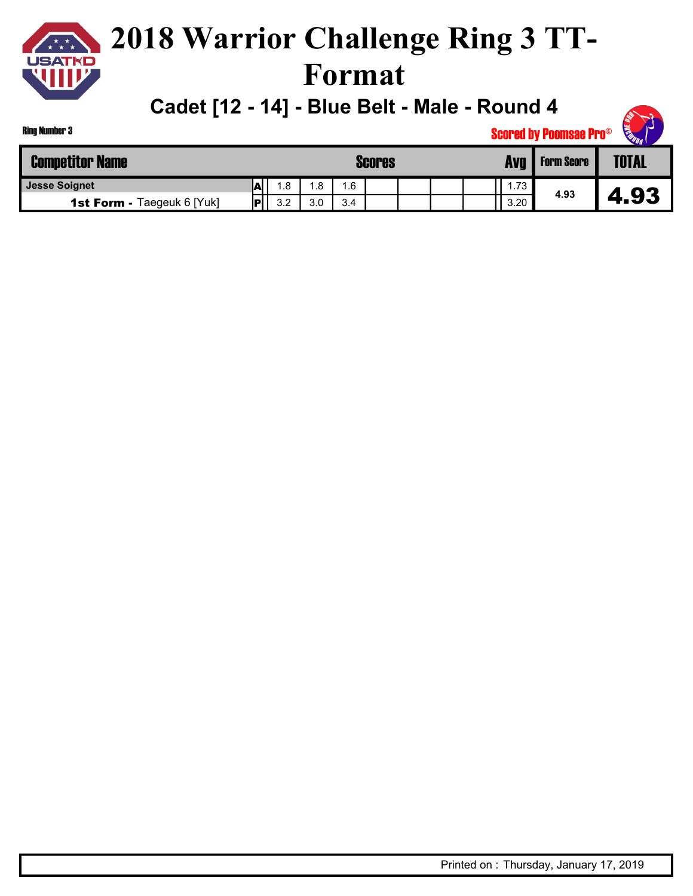

### **2018 Warrior Challenge Ring 3 TT-Format**

**Cadet [12 - 14] - Blue Belt - Male - Round 4**

| <b>SALLO</b> |
|--------------|
|--------------|

| <b>Competitor Name</b>            |           |    |           |     | <b>Scores</b> |  | Avq  | <b>Form Score</b> | <b>TOTAL</b> |
|-----------------------------------|-----------|----|-----------|-----|---------------|--|------|-------------------|--------------|
| <b>Jesse Soignet</b>              | M         | .8 | .8        | .6  |               |  | 1.73 |                   |              |
| <b>1st Form - Taegeuk 6 [Yuk]</b> | <b>IP</b> | っっ | 30<br>J.U | 3.4 |               |  | 3.20 | 4.93              | 4.93         |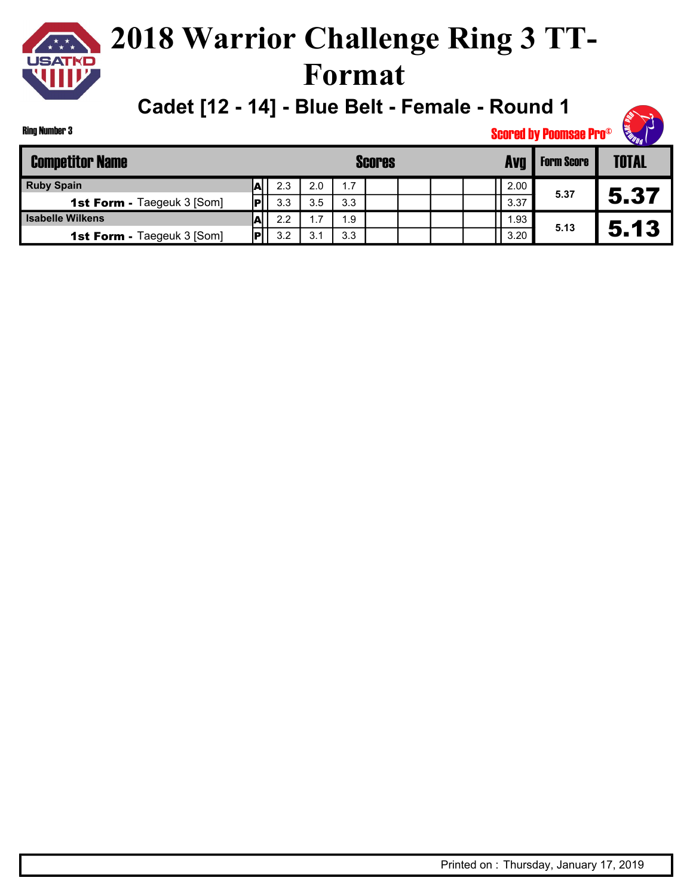**Cadet [12 - 14] - Blue Belt - Female - Round 1**

Ring Number 3

| <b>Competitor Name</b>            |     |     |     |     | <b>Scores</b> |  | Avg  | <b>Form Score</b> | <b>TOTAL</b> |
|-----------------------------------|-----|-----|-----|-----|---------------|--|------|-------------------|--------------|
| <b>Ruby Spain</b>                 |     | 2.3 | 2.0 | 1.7 |               |  | 2.00 |                   |              |
| <b>1st Form - Taegeuk 3 [Som]</b> | Iвl | 3.3 | 3.5 | 3.3 |               |  | 3.37 | 5.37              |              |
| <b>Isabelle Wilkens</b>           |     | 2.2 | 1.7 | 1.9 |               |  | .93  |                   |              |
| <b>1st Form - Taegeuk 3 [Som]</b> | lвl | 3.2 | 3.1 | 3.3 |               |  | 3.20 | 5.13              | 5.13         |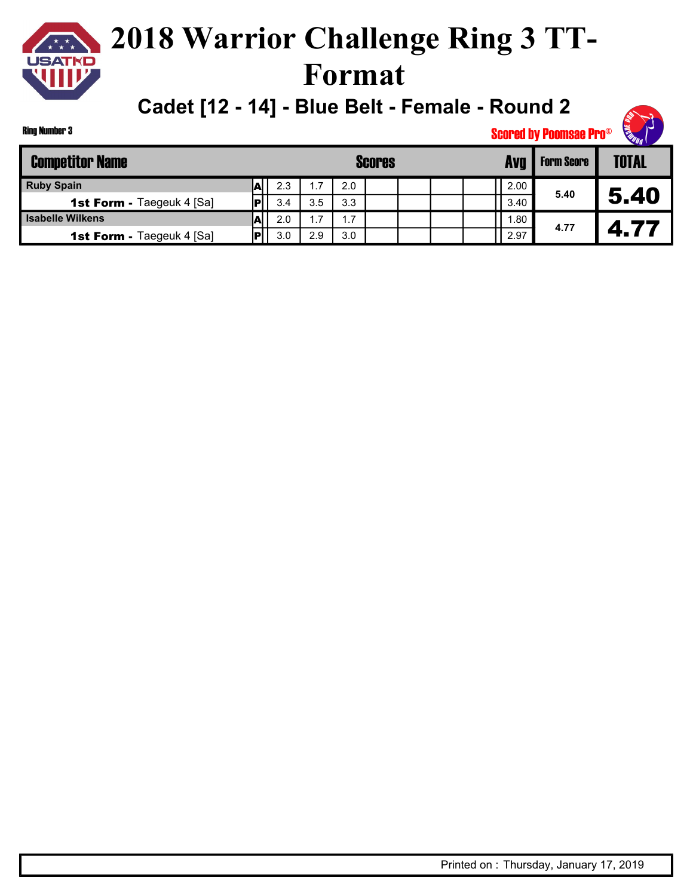**Cadet [12 - 14] - Blue Belt - Female - Round 2**

| Ring Number 3 |  |
|---------------|--|
|               |  |

| <b>Competitor Name</b>           |            |     |     |     | <b>Scores</b> |  | Avg  |     | <b>Form Score</b> | TOTAL |
|----------------------------------|------------|-----|-----|-----|---------------|--|------|-----|-------------------|-------|
| <b>Ruby Spain</b>                | -          | 2.3 | .7  | 2.0 |               |  | 2.00 |     |                   |       |
| <b>1st Form - Taegeuk 4 [Sa]</b> |            | 3.4 | 3.5 | 3.3 |               |  | 3.40 |     | 5.40              | 5.40  |
| <b>Isabelle Wilkens</b>          | $\sqrt{2}$ | 2.0 | .7  | 1.7 |               |  |      | .80 |                   |       |
| <b>1st Form - Taegeuk 4 [Sa]</b> |            | 3.0 | 2.9 | 3.0 |               |  | 2.97 |     | 4.77              | 4.77  |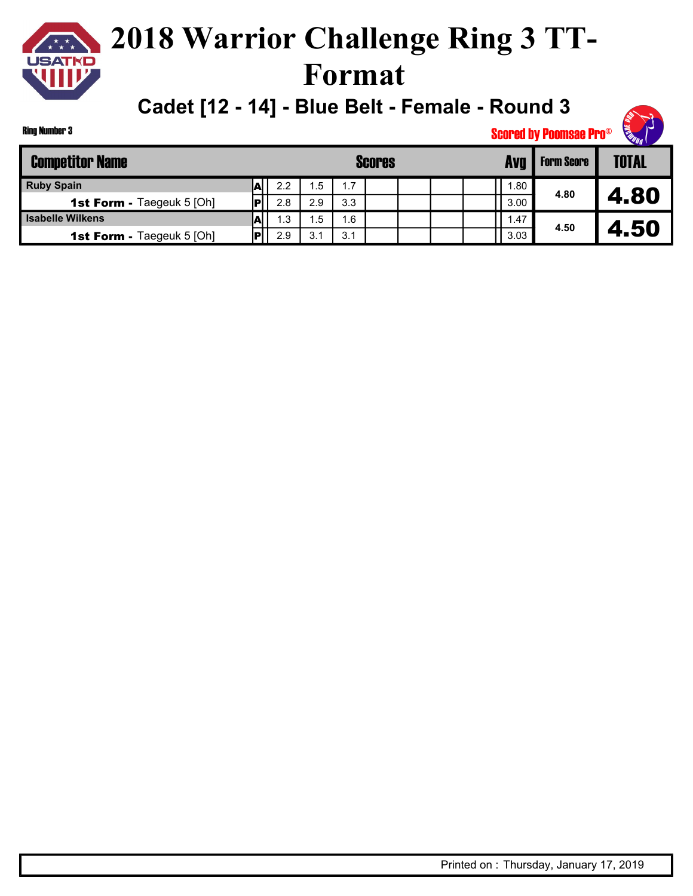**Cadet [12 - 14] - Blue Belt - Female - Round 3**

Ring Number 3

| <b>Competitor Name</b>           |     |     |     | <b>Scores</b> |  | Avo  | <b>Form Score</b> | <b>TOTAL</b> |
|----------------------------------|-----|-----|-----|---------------|--|------|-------------------|--------------|
| <b>Ruby Spain</b>                | 2.2 | . 5 | 1.7 |               |  | . 80 |                   |              |
| <b>1st Form - Taegeuk 5 [Oh]</b> | 2.8 | 2.9 | 3.3 |               |  | 3.00 | 4.80              | 4.80         |
| <b>Isabelle Wilkens</b>          | 1.3 | . 5 | 1.6 |               |  | 1.47 |                   |              |
| <b>1st Form - Taegeuk 5 [Oh]</b> | 2.9 | ົ   | 3.1 |               |  | 3.03 | 4.50              | 4.50         |

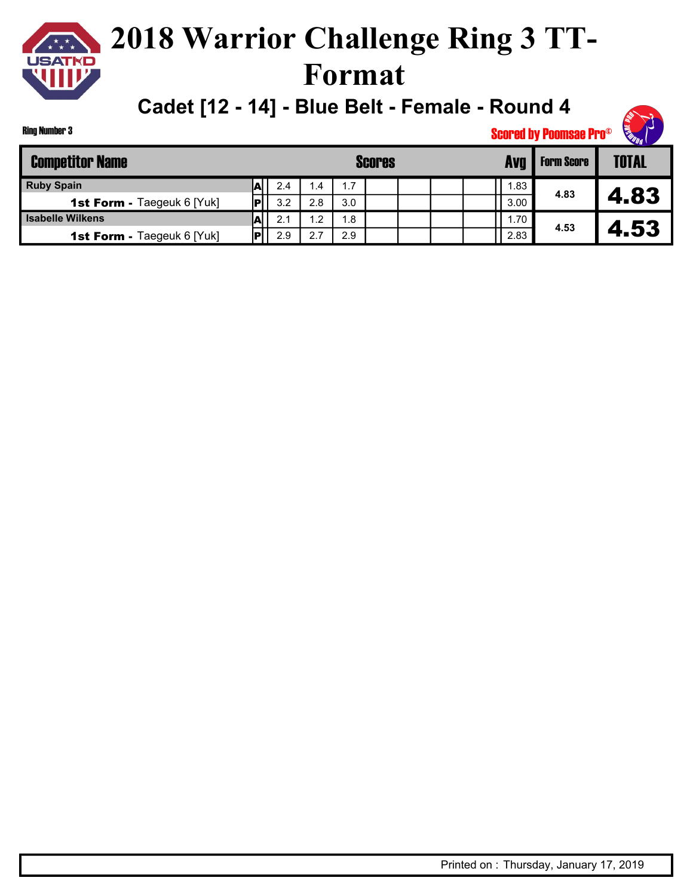**Cadet [12 - 14] - Blue Belt - Female - Round 4**

Ring Number 3

| <b>Competitor Name</b>     |      |     |         |     | <b>Scores</b> |  | Avg              | <b>Form Score</b> | <b>TOTAL</b> |
|----------------------------|------|-----|---------|-----|---------------|--|------------------|-------------------|--------------|
| <b>Ruby Spain</b>          |      | 2.4 | l .4    | 1.7 |               |  | .83 <sup>1</sup> |                   |              |
| 1st Form - Taegeuk 6 [Yuk] | Iвl  | 3.2 | 2.8     | 3.0 |               |  | 3.00             | 4.83              | 4.83         |
| <b>Isabelle Wilkens</b>    |      | 2.1 | $\cdot$ | 1.8 |               |  | .70'             |                   |              |
| 1st Form - Taegeuk 6 [Yuk] | lol. | 2.9 | 2.7     | 2.9 |               |  | 2.83             | 4.53              | 4.53         |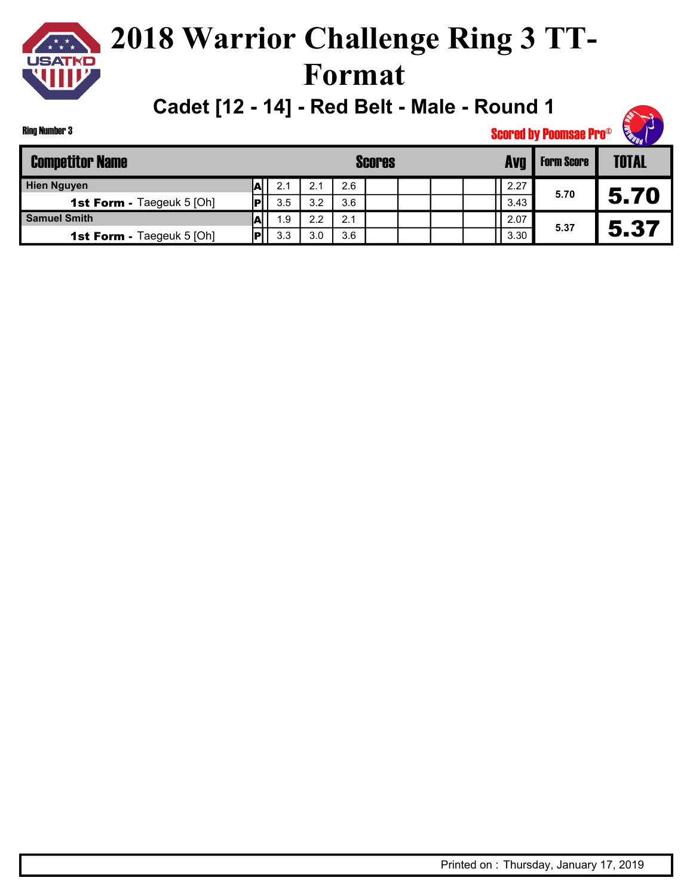

**Cadet [12 - 14] - Red Belt - Male - Round 1**

|  | Ring Number 3 |  |
|--|---------------|--|
|--|---------------|--|

| <b>Competitor Name</b>           |                          |     |     |     | <b>Scores</b> |  |      | <b>Form Score</b> | <b>TOTAL</b> |
|----------------------------------|--------------------------|-----|-----|-----|---------------|--|------|-------------------|--------------|
| <b>Hien Nguyen</b>               | А                        | 2.1 | 2.1 | 2.6 |               |  | 2.27 |                   |              |
| <b>1st Form - Taegeuk 5 [Oh]</b> | IРI                      | 3.5 | 3.2 | 3.6 |               |  | 3.43 | 5.70              | 5.70         |
| <b>Samuel Smith</b>              | $\overline{\phantom{a}}$ | 1.9 | 2.2 | 2.1 |               |  | 2.07 |                   |              |
| <b>1st Form - Taegeuk 5 [Oh]</b> | IP'                      | 3.3 | 3.0 | 3.6 |               |  | 3.30 | 5.37              |              |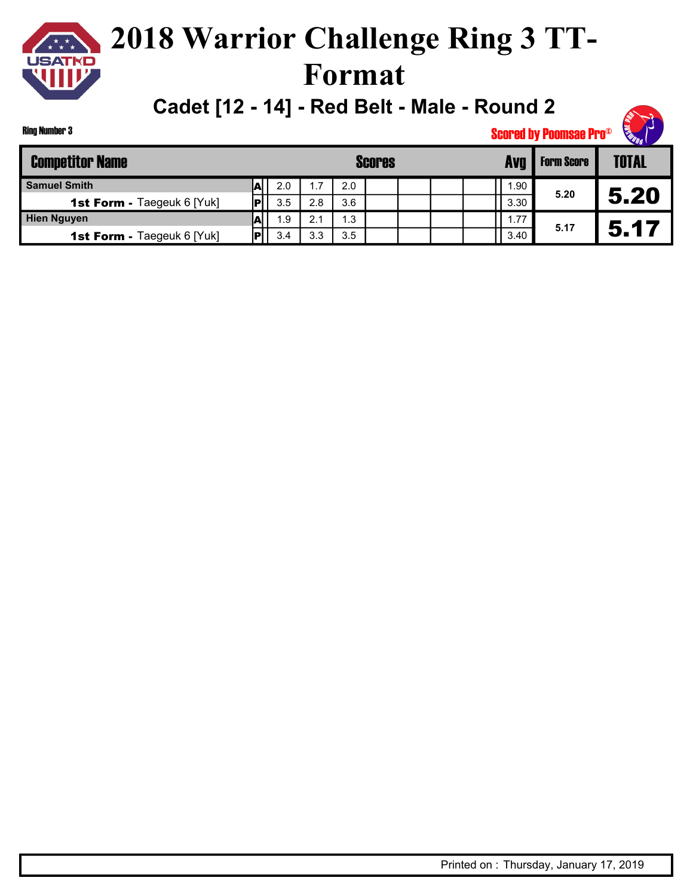

**Cadet [12 - 14] - Red Belt - Male - Round 2**

| Ring Number 3 |  |
|---------------|--|
|---------------|--|

| <b>Competitor Name</b>            |     |     |     | <b>Scores</b> |  | Ava  | <b>Form Score</b> | <b>TOTAL</b> |
|-----------------------------------|-----|-----|-----|---------------|--|------|-------------------|--------------|
| <b>Samuel Smith</b>               | 2.0 | 1.7 | 2.0 |               |  | .90  |                   |              |
| <b>1st Form - Taegeuk 6 [Yuk]</b> | 3.5 | 2.8 | 3.6 |               |  | 3.30 | 5.20              | 5.20         |
| <b>Hien Nguyen</b>                | 1.9 | 2.1 | 1.3 |               |  | 1.77 |                   |              |
| 1st Form - Taegeuk 6 [Yuk]        | 3.4 | 3.3 | 3.5 |               |  | 3.40 | 5.17              | 5.17         |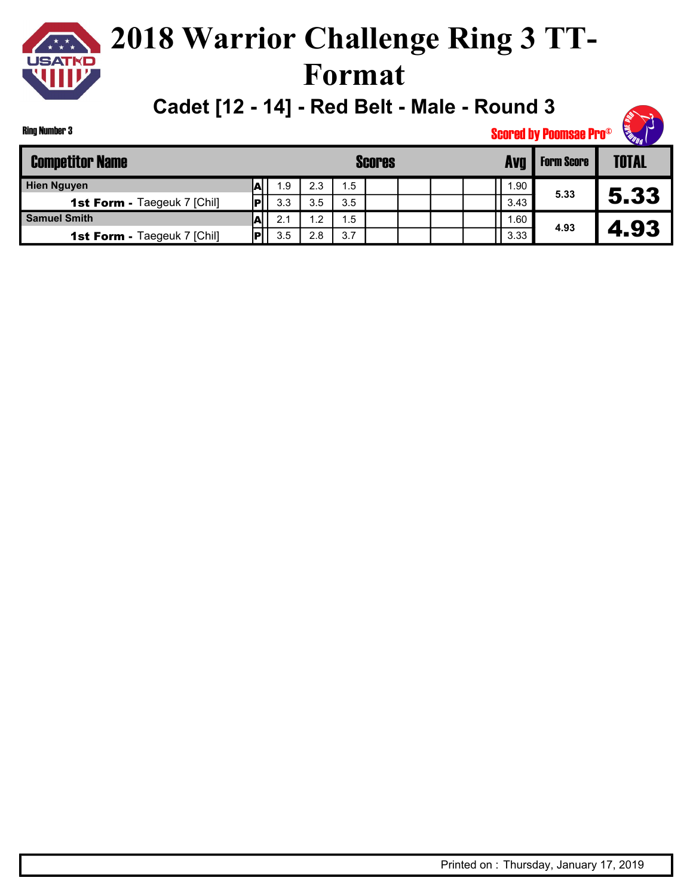### **2018 Warrior Challenge Ring 3 TT-Format**

**Cadet [12 - 14] - Red Belt - Male - Round 3**

Ring Number 3

| <b>Competitor Name</b>             |      |     |               |     | <b>Scores</b> |  | Ava  | <b>Form Score</b> | <b>TOTAL</b> |
|------------------------------------|------|-----|---------------|-----|---------------|--|------|-------------------|--------------|
| <b>Hien Nguyen</b>                 |      | 1.9 | 2.3           | 1.5 |               |  | .90  |                   |              |
| <b>1st Form - Taegeuk 7 [Chil]</b> |      | 3.3 | 3.5           | 3.5 |               |  | 3.43 | 5.33              | 5.33         |
| <b>Samuel Smith</b>                | .AI' | 2.1 | $\mathsf{L}2$ | 1.5 |               |  | .60  |                   |              |
| <b>1st Form - Taegeuk 7 [Chil]</b> |      | 3.5 | 2.8           | 3.7 |               |  | 3.33 | 4.93              | 4.93         |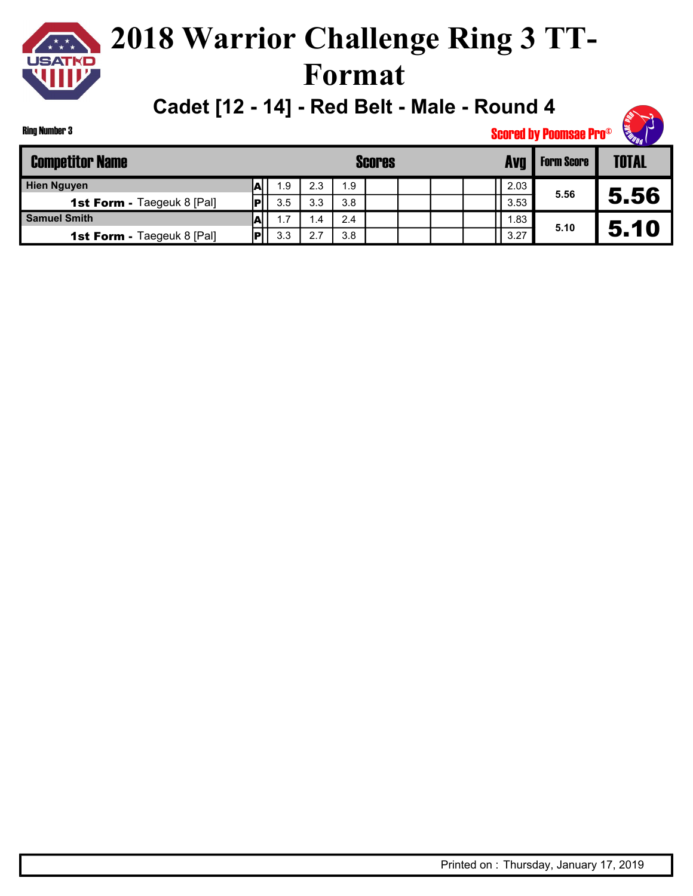

**Cadet [12 - 14] - Red Belt - Male - Round 4**

Ring Number 3

| <b>Competitor Name</b>            |     |      |     | <b>Scores</b> |  | Avq  | <b>Form Score</b> | <b>TOTAL</b> |
|-----------------------------------|-----|------|-----|---------------|--|------|-------------------|--------------|
| <b>Hien Nguyen</b>                | 1.9 | 2.3  | 1.9 |               |  | 2.03 |                   |              |
| <b>1st Form - Taegeuk 8 [Pal]</b> | 3.5 | 3.3  | 3.8 |               |  | 3.53 | 5.56              | 5.56         |
| <b>Samuel Smith</b>               | 1.7 | . .4 | 2.4 |               |  | . 83 |                   |              |
| <b>1st Form - Taegeuk 8 [Pal]</b> | 3.3 | 2.7  | 3.8 |               |  | 3.27 | 5.10              | 5.10         |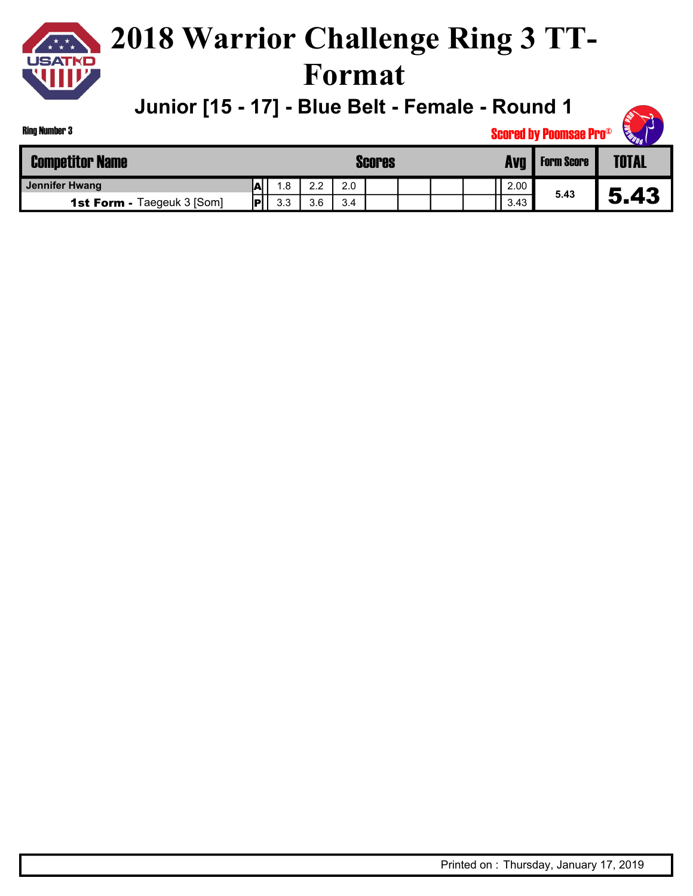

#### **2018 Warrior Challenge Ring 3 TT-Format**

**Junior [15 - 17] - Blue Belt - Female - Round 1**

| <b>STEEP</b> |
|--------------|
|--------------|

| <b>Competitor Name</b>            |    |     |                 | Scores |  | Avg  | <b>Form Score</b> | <b>TOTAL</b> |
|-----------------------------------|----|-----|-----------------|--------|--|------|-------------------|--------------|
| Jennifer Hwang                    |    | 1.8 | $\Omega$<br>ے.∠ | 2.0    |  | 2.00 |                   |              |
| <b>1st Form - Taegeuk 3 [Som]</b> | םו | 3.3 | 3.6             | 3.4    |  | 3.43 | 5.43              | 5.43         |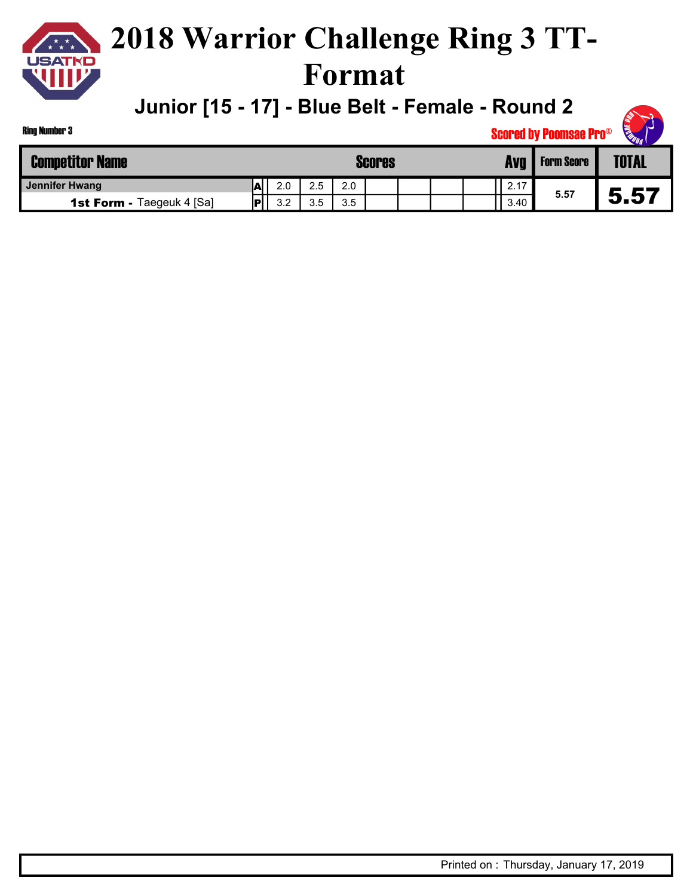

#### **2018 Warrior Challenge Ring 3 TT-Format**

**Junior [15 - 17] - Blue Belt - Female - Round 2**

| <b>OUTS</b> |
|-------------|
|-------------|

| <b>Ring Number 3</b>             |     |     |     |     |               |      | <b>Scored by Poomsae Pro®</b> | <b>READER</b><br>$\overline{\phantom{a}}$ |
|----------------------------------|-----|-----|-----|-----|---------------|------|-------------------------------|-------------------------------------------|
| <b>Competitor Name</b>           |     |     |     |     | <b>Scores</b> | Ava  | <b>Form Score</b>             | <b>TOTAL</b>                              |
| <b>Jennifer Hwang</b>            | ΙAΙ | 2.0 | 2.5 | 2.0 |               | 2.17 |                               |                                           |
| <b>1st Form - Taegeuk 4 [Sa]</b> |     | 3.2 | 3.5 | 3.5 |               | 3.40 | 5.57                          | 5.57                                      |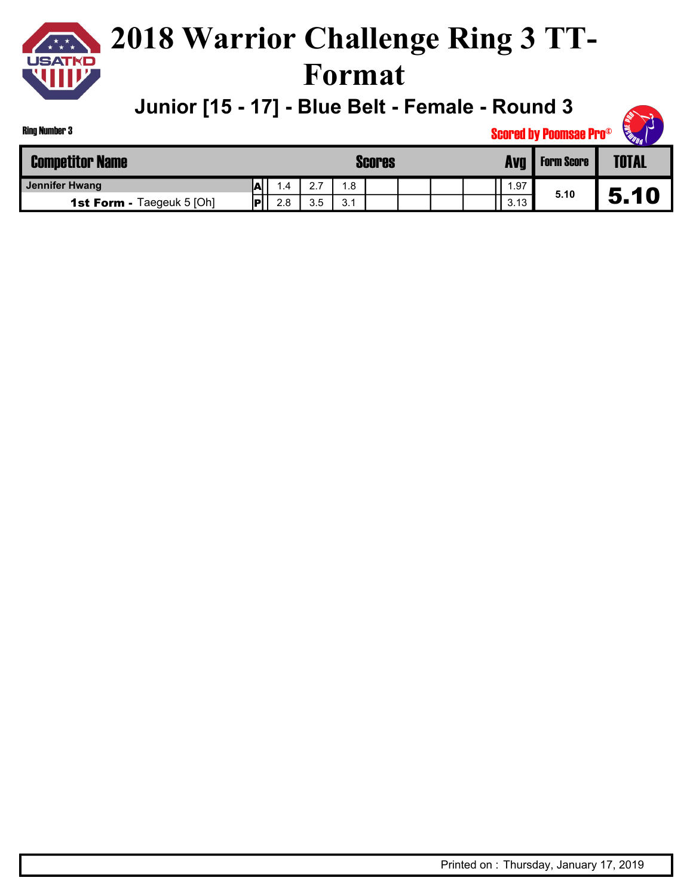

#### **2018 Warrior Challenge Ring 3 TT-Format**

**Junior [15 - 17] - Blue Belt - Female - Round 3**

| <b>Competitor Name</b>           |     |      |                                  |     | <b>Scores</b> | Avg  | <b>Form Score</b> | <b>TOTAL</b> |
|----------------------------------|-----|------|----------------------------------|-----|---------------|------|-------------------|--------------|
| Jennifer Hwang                   | ΙAΙ | 4. ، | $\sim$ $\rightarrow$<br><u>.</u> | .8  |               | .97  |                   |              |
| <b>1st Form - Taegeuk 5 [Oh]</b> | IP  | 2.8  | 3.5                              | 3.1 |               | 3.13 | 5.10              | 5.10         |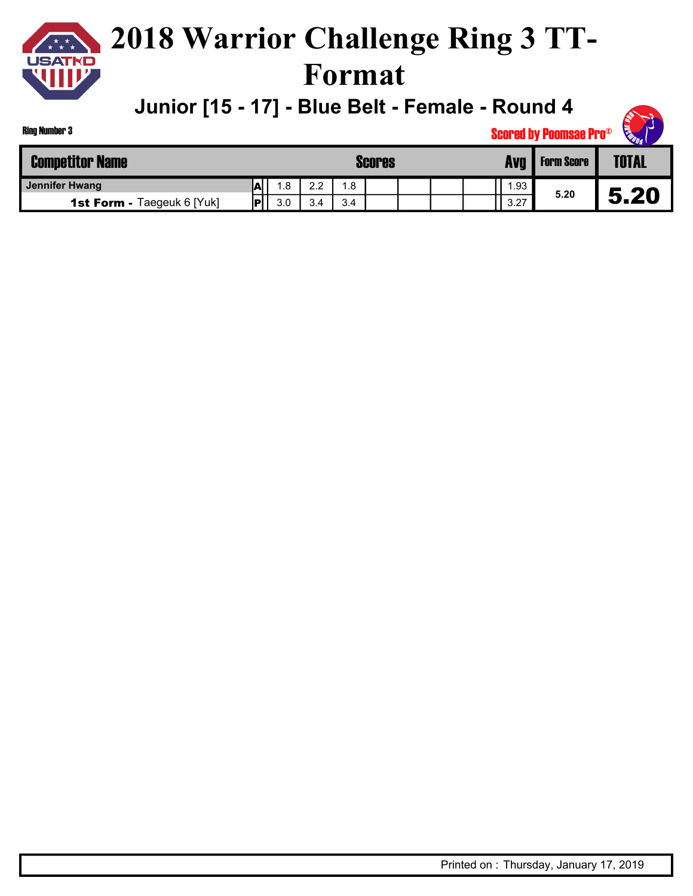

#### **2018 Warrior Challenge Ring 3 TT-Format**

**Junior [15 - 17] - Blue Belt - Female - Round 4**

| <b>STEEP</b> |
|--------------|
|--------------|

| <b>Competitor Name</b>            |                          |      |                 |     | <b>Scores</b> |  | Avg   | <b>Form Score</b> | <b>TOTAL</b> |
|-----------------------------------|--------------------------|------|-----------------|-----|---------------|--|-------|-------------------|--------------|
| Jennifer Hwang                    | $\overline{\phantom{a}}$ | . .8 | $\Omega$<br>2.2 | 1.8 |               |  | . .93 |                   |              |
| <b>1st Form - Taegeuk 6 [Yuk]</b> | Πэ                       | 3.0  | 3.4             | 3.4 |               |  | 3.27  | 5.20              | 5.20         |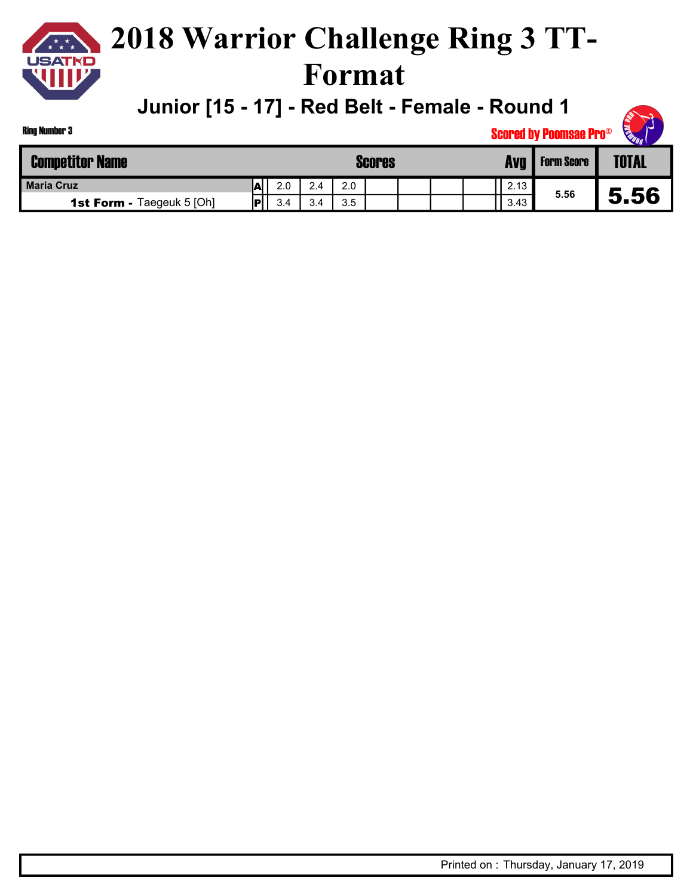

### **2018 Warrior Challenge Ring 3 TT-Format**

**Junior [15 - 17] - Red Belt - Female - Round 1**



| <b>Competitor Name</b>           |     |     |     |     | <b>Scores</b> |  | Avg  | <b>Form Score</b> | <b>TOTAL</b> |
|----------------------------------|-----|-----|-----|-----|---------------|--|------|-------------------|--------------|
| <b>Maria Cruz</b>                | IA  | 2.0 | 2.4 | 2.0 |               |  | 2.13 |                   |              |
| <b>1st Form - Taegeuk 5 [Oh]</b> | . . | 3.4 | 3.4 | 3.5 |               |  | 3.43 | 5.56              | 5.56         |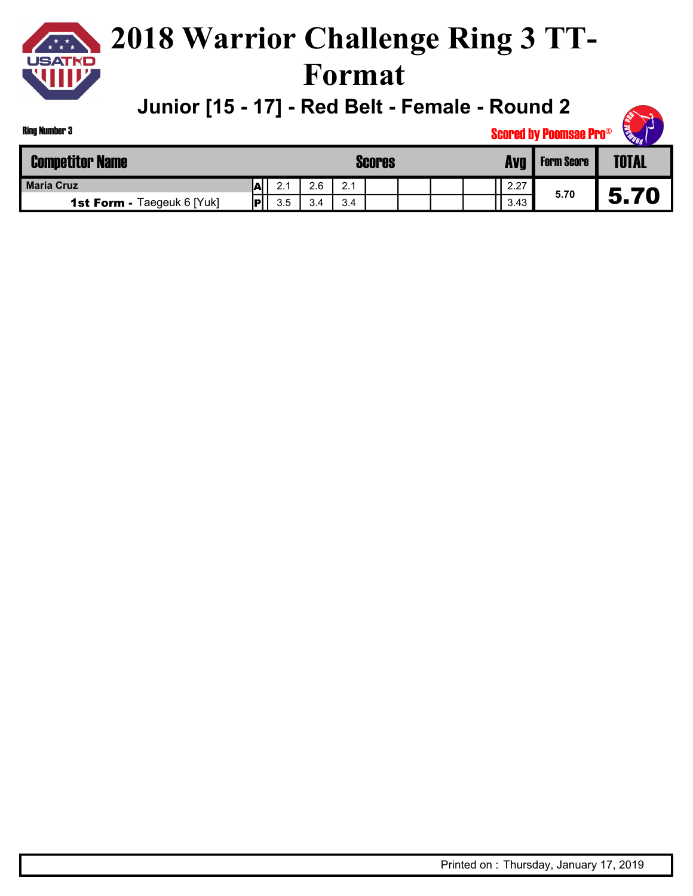

### **2018 Warrior Challenge Ring 3 TT-Format**

**Junior [15 - 17] - Red Belt - Female - Round 2**

| <b>Ring Number 3</b>              | <b>Scored by Poomsae Pro®</b> |     |     |     |  |  |  |            |                   |              |      |
|-----------------------------------|-------------------------------|-----|-----|-----|--|--|--|------------|-------------------|--------------|------|
| <b>Competitor Name</b>            | <b>Scores</b>                 |     |     |     |  |  |  | <b>Avg</b> | <b>Form Score</b> | <b>TOTAL</b> |      |
| <b>Maria Cruz</b>                 | IAI                           | 2.1 | 2.6 | 2.1 |  |  |  |            | 2.27              |              |      |
| <b>1st Form - Taegeuk 6 [Yuk]</b> | IР                            | 3.5 | 3.4 | 3.4 |  |  |  |            | 3.43              | 5.70         | 5.70 |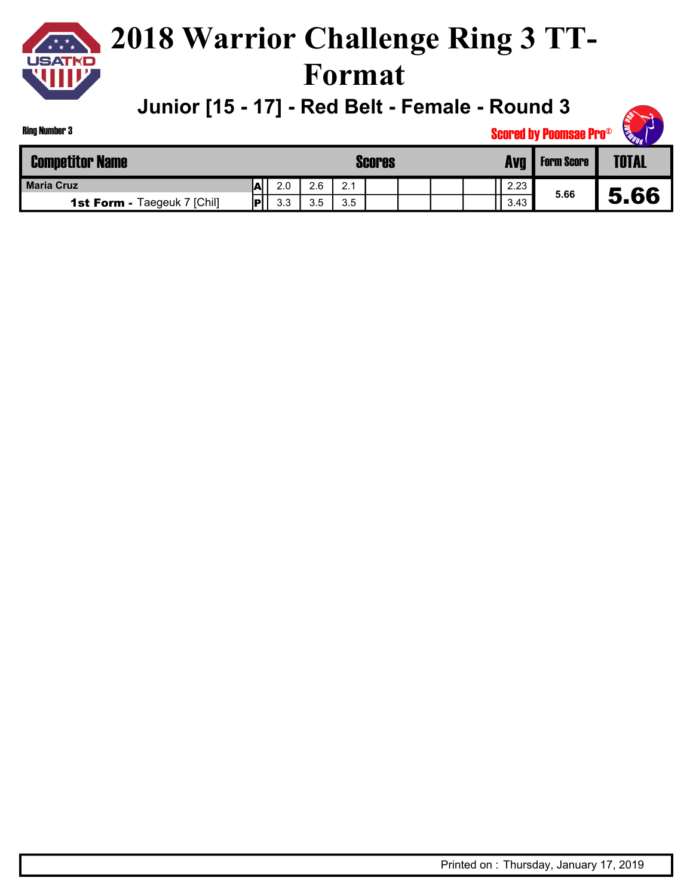

### **2018 Warrior Challenge Ring 3 TT-Format**

**Junior [15 - 17] - Red Belt - Female - Round 3**

| <b>Ring Number 3</b>               |                    |     |     |     |  |  |      | <b>Scored by Poomsae Pro®</b> | <b>CELEBRATION</b><br><b>AN</b> |
|------------------------------------|--------------------|-----|-----|-----|--|--|------|-------------------------------|---------------------------------|
| <b>Competitor Name</b>             | <b>Scores</b>      |     |     |     |  |  | Ava  | <b>Form Score</b>             | <b>TOTAL</b>                    |
| <b>Maria Cruz</b>                  |                    | 2.0 | 2.6 | 2.1 |  |  | 2.23 |                               |                                 |
| <b>1st Form - Taegeuk 7 [Chil]</b> | $ \mathsf{P} $ $ $ | 3.3 | 3.5 | 3.5 |  |  | 3.43 | 5.66                          | 5.66                            |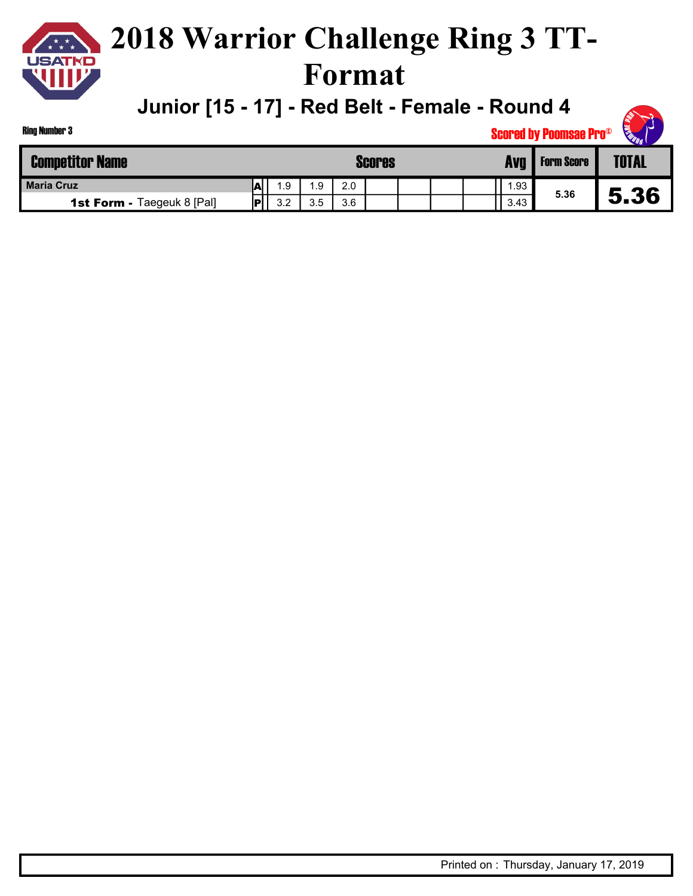

### **2018 Warrior Challenge Ring 3 TT-Format**

**Junior [15 - 17] - Red Belt - Female - Round 4**

| <b>Competitor Name</b>            | <b>Scores</b> |     |     |     |  |  | Avg | <b>Form Score</b> | $\sim$ 41 $\sim$<br><b>TOTAL</b> |      |
|-----------------------------------|---------------|-----|-----|-----|--|--|-----|-------------------|----------------------------------|------|
| <b>Maria Cruz</b>                 | ΙAΙ           | 1.9 | .9  | 2.0 |  |  |     | .93               |                                  |      |
| <b>1st Form - Taegeuk 8 [Pal]</b> | IP            | 32  | 3.5 | 3.6 |  |  |     | 3.43              | 5.36                             | J.JO |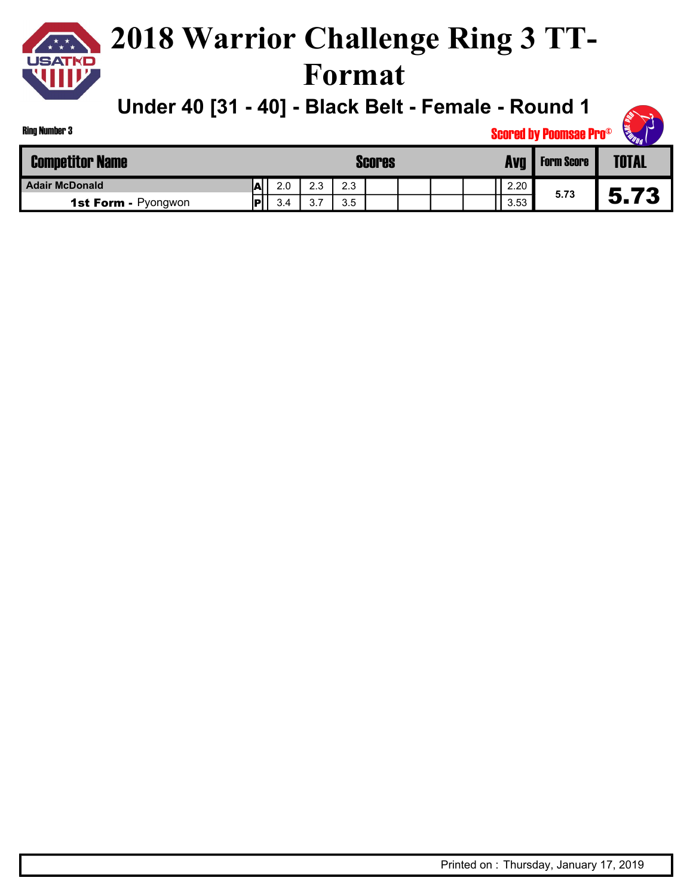**Under 40 [31 - 40] - Black Belt - Female - Round 1**

| <b>Ring Number 3</b>       |          |         |               |  |      | <b>Scored by Poomsae Pro®</b> | <b>CERTIFICATION CONTROL</b> |
|----------------------------|----------|---------|---------------|--|------|-------------------------------|------------------------------|
| <b>Competitor Name</b>     |          |         | <b>Scores</b> |  | Avq  | <b>Form Score</b>             | <b>TOTAL</b>                 |
| <b>Adair McDonald</b>      | 2.0<br>W | 2.3     | 2.3           |  | 2.20 | 5.73                          |                              |
| <b>1st Form - Pyongwon</b> | 3.4      | 27<br>ູ | 3.5           |  | 3.53 |                               | 5.73                         |

Ring Number 3

**RANT RE**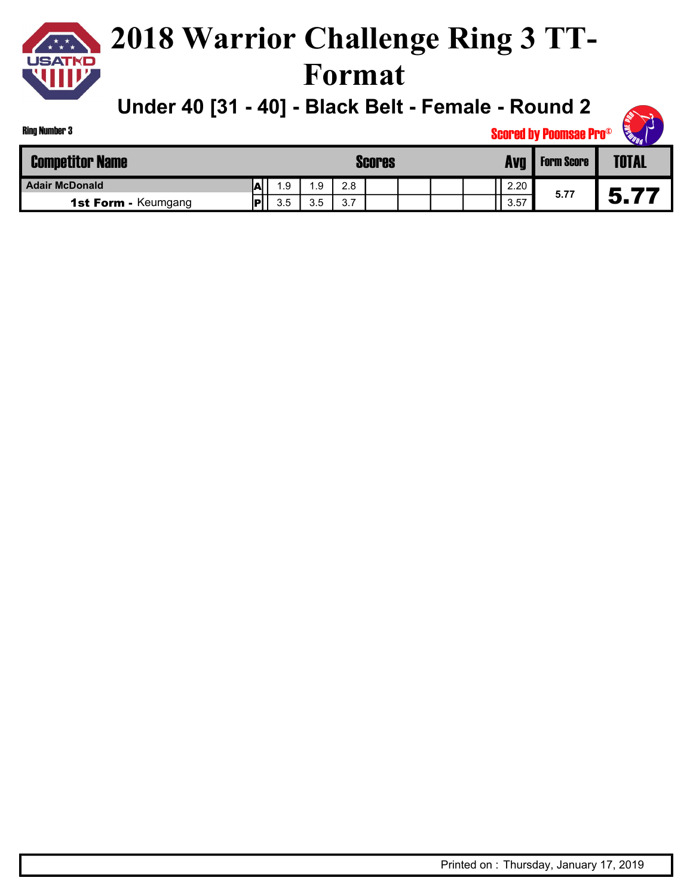**Under 40 [31 - 40] - Black Belt - Female - Round 2**

|                            |           |           |     |  |  |  |  |      | <b>OUUI UU IJ I UUIIIUUU I I U</b> | $v_{q_1}$    |
|----------------------------|-----------|-----------|-----|--|--|--|--|------|------------------------------------|--------------|
| <b>Competitor Name</b>     | Scores    |           |     |  |  |  |  | Avq  | <b>Form Score</b>                  | <b>TOTAL</b> |
| <b>Adair McDonald</b>      | L         | .9<br>1.9 | 2.8 |  |  |  |  | 2.20 | 5.77                               |              |
| <b>1st Form - Keumgang</b> | 3.5<br>IР | 3.5       | 3.7 |  |  |  |  | 3.57 |                                    | 5.77         |

Ring Number 3

**RAT REAL** Scored by Poomsae Pro©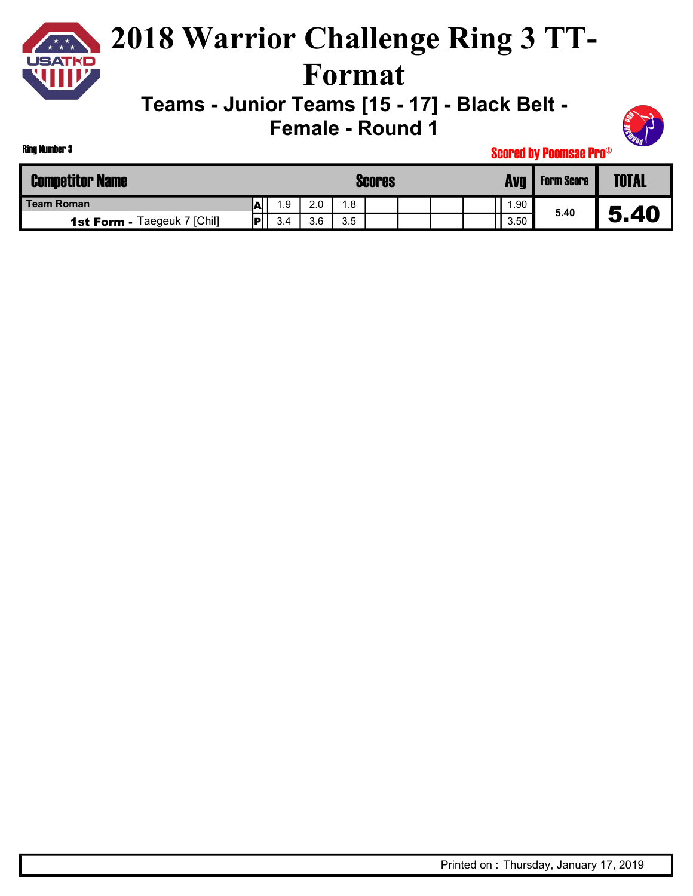

### **2018 Warrior Challenge Ring 3 TT-Format**

**Teams - Junior Teams [15 - 17] - Black Belt -** 

**Female - Round 1**



| <b>Competitor Name</b>             | Scores |     |     |     |  |  | Avg | <b>Form Score</b> | <b>TOTAL</b> |      |
|------------------------------------|--------|-----|-----|-----|--|--|-----|-------------------|--------------|------|
| <b>Team Roman</b>                  | m      | 1.9 | 2.0 | 1.8 |  |  |     | .90               |              |      |
| <b>1st Form - Taegeuk 7 [Chil]</b> | IP'    | 3.4 | 3.6 | 3.5 |  |  |     | 3.50              | 5.40         | 5.40 |